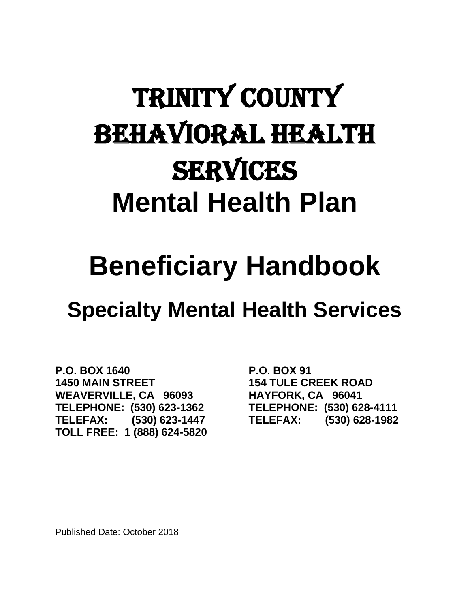# TRINITY COUNTY Behavioral health **SERVICES Mental Health Plan**

# **Beneficiary Handbook**

# **Specialty Mental Health Services**

**P.O. BOX 1640 P.O. BOX 91 1450 MAIN STREET 154 TULE CREEK ROAD WEAVERVILLE, CA 96093 HAYFORK, CA 96041 TELEPHONE: (530) 623-1362 TELEPHONE: (530) 628-4111 TELEFAX: (530) 623-1447 TELEFAX: (530) 628-1982 TOLL FREE: 1 (888) 624-5820**

Published Date: October 2018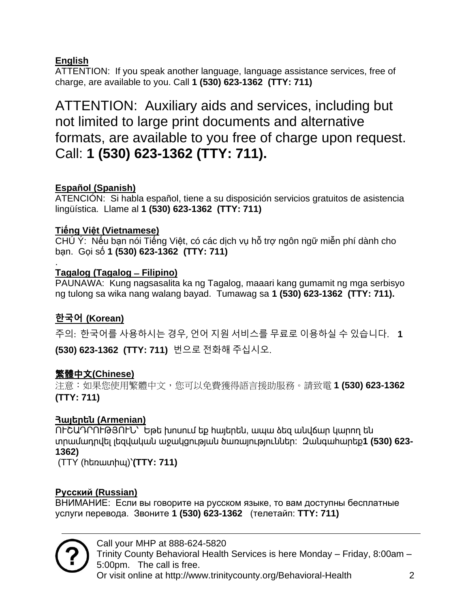#### **English**

ATTENTION: If you speak another language, language assistance services, free of charge, are available to you. Call **1 (530) 623-1362 (TTY: 711)**

ATTENTION: Auxiliary aids and services, including but not limited to large print documents and alternative formats, are available to you free of charge upon request. Call: **1 (530) 623-1362 (TTY: 711).**

#### **Español (Spanish)**

ATENCIÓN: Si habla español, tiene a su disposición servicios gratuitos de asistencia lingüística. Llame al **1 (530) 623-1362 (TTY: 711)**

#### **Tiếng Việt (Vietnamese)**

CHÚ Ý: Nếu bạn nói Tiếng Việt, có các dịch vụ hỗ trợ ngôn ngữ miễn phí dành cho bạn. Gọi số **1 (530) 623-1362 (TTY: 711)**

#### . **Tagalog (Tagalog ̶ Filipino)**

PAUNAWA: Kung nagsasalita ka ng Tagalog, maaari kang gumamit ng mga serbisyo ng tulong sa wika nang walang bayad. Tumawag sa **1 (530) 623-1362 (TTY: 711).**

#### **한국어 (Korean)**

주의: 한국어를 사용하시는 경우, 언어 지원 서비스를 무료로 이용하실 수 있습니다. **1** 

**(530) 623-1362 (TTY: 711)** 번으로 전화해 주십시오.

#### 繁體中文**(Chinese)**

注意:如果您使用繁體中文,您可以免費獲得語言援助服務。請致電 **1 (530) 623-1362 (TTY: 711)**

#### **Հայերեն (Armenian)**

ՈՒՇԱԴՐՈՒԹՅՈՒՆ՝ Եթե խոսում եք հայերեն, ապա ձեզ անվճար կարող են տրամադրվել լեզվական աջակցության ծառայություններ: Զանգահարեք**1 (530) 623- 1362)**

(TTY (հեռատիպ)՝**(TTY: 711)**

#### **Русский (Russian)**

ВНИМАНИЕ: Если вы говорите на русском языке, то вам доступны бесплатные услуги перевода. Звоните **1 (530) 623-1362** (телетайп: **TTY: 711)**

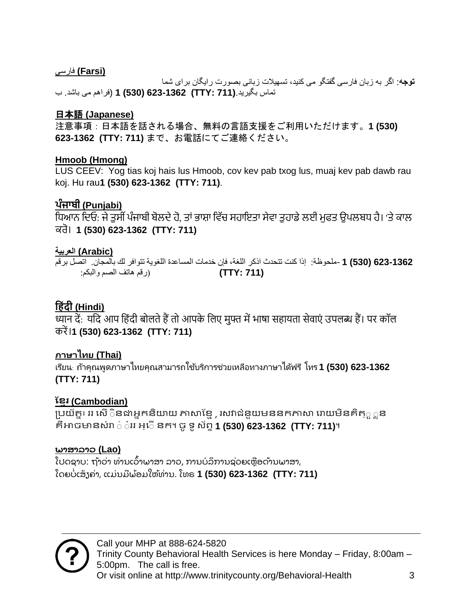#### **(Farsi (**فارسی

**توجه**: اگر به زبان فارسی گفتگو می کنید، تسهیالت زبانی بصورت رایگان برای شما تماس بگیرید.**(711 :TTY (623-1362) 530 (1**) فراهم می باشد. ب

#### 日本語 **(Japanese)**

注意事項:日本語を話される場合、無料の言語支援をご利用いただけます。**1 (530) 623-1362 (TTY: 711)** まで、お電話にてご連絡ください。

#### **Hmoob (Hmong)**

LUS CEEV: Yog tias koj hais lus Hmoob, cov kev pab txog lus, muaj kev pab dawb rau koj. Hu rau**1 (530) 623-1362 (TTY: 711)**.

#### **ਪੰਜਾਬੀ (Punjabi)**

ਧਿਆਨ ਦਿਓ: ਜੇ ਤੁਸੀਂ ਪੰਜਾਬੀ ਬੋਲਦੇ ਹੋ, ਤਾਂ ਭਾਸ਼ਾ ਵਿੱਚ ਸਹਾਇਤਾ ਸੇਵਾ ਤਹਾਡੇ ਲਈ ਮਫਤ ਉਪਲਬਧ ਹੈ। 'ਤੇ ਕਾਲ ਕਰੋ। **1 (530) 623-1362 (TTY: 711)**

#### **(Arabic (العربية**

 **623-1362 (530) 1** *-*ملحوظة: إذا كنت تتحدث اذكر اللغة، فإن خدمات المساعدة اللغوية تتوافر لك بالمجان. اتصل برقم **(711 :TTY**(**(**رقم هاتف الصم والبكم:

#### **ह िंदी (Hindi)**

<u>ध्यान दें: यदि आप हिंदी बोलते हैं तो आपके लिए मुफ्त में भाषा सहायता सेवाएं उपलब्ध हैं। पर कॉल</u> करें।**1 (530) 623-1362 (TTY: 711)**

#### **ภาษาไทย (Thai)**

ี่ เรียน<sub>:</sub> ถ้าคุณพูดภาษาไทยคุณสามารถใช้บริการช่วยเหลือทางภาษาได้ฟรี โทร **1 (530) 623-1362 (TTY: 711)**

#### **ខ្មែរ (Cambodian)**

ប្រយ័ត្ន៖ ររ សើិនជាអ្នកនិយាយ ភាសាខ្មែ , រសវាជំនួយមននកភាសា រោយមិនគិត្្ក*ួ*ន គឺអាចមាន ំោ ិ ិំររ អ្្សិើនក។ ចូទូ ័ព្ទ**1 (530) 623-1362 (TTY: 711)**។

#### **ພາສາລາວ (Lao)**

ໂປດຊາບ: ຖ້າວ່າ ທ່ານເວົ້າພາສາ ລາວ, ການບໍລິການຊ່ວຍເຫຼືອດ້ານພາສາ, ໂດຍບໍ ່ ເສັຽຄ່າ, ແມ່ ນມີ ພ້ ອມໃຫ້ທ່ານ. ໂທຣ **1 (530) 623-1362 (TTY: 711)**

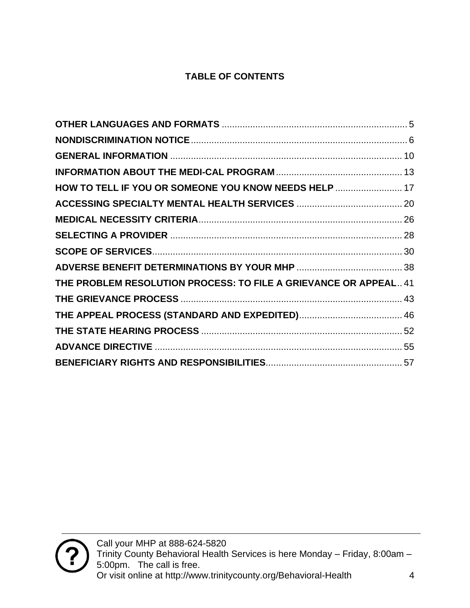#### **TABLE OF CONTENTS**

| HOW TO TELL IF YOU OR SOMEONE YOU KNOW NEEDS HELP  17            |
|------------------------------------------------------------------|
|                                                                  |
|                                                                  |
|                                                                  |
|                                                                  |
|                                                                  |
| THE PROBLEM RESOLUTION PROCESS: TO FILE A GRIEVANCE OR APPEAL 41 |
|                                                                  |
|                                                                  |
|                                                                  |
|                                                                  |
|                                                                  |
|                                                                  |

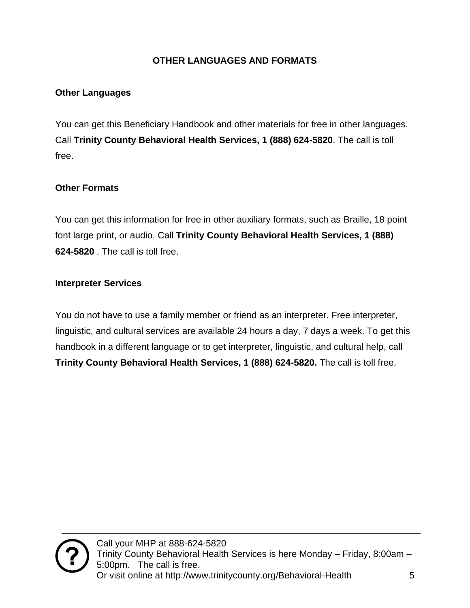#### **OTHER LANGUAGES AND FORMATS**

#### <span id="page-4-0"></span>**Other Languages**

You can get this Beneficiary Handbook and other materials for free in other languages. Call **Trinity County Behavioral Health Services, 1 (888) 624-5820**. The call is toll free.

#### **Other Formats**

You can get this information for free in other auxiliary formats, such as Braille, 18 point font large print, or audio. Call **Trinity County Behavioral Health Services, 1 (888) 624-5820** . The call is toll free.

#### **Interpreter Services**

You do not have to use a family member or friend as an interpreter. Free interpreter, linguistic, and cultural services are available 24 hours a day, 7 days a week. To get this handbook in a different language or to get interpreter, linguistic, and cultural help, call **Trinity County Behavioral Health Services, 1 (888) 624-5820.** The call is toll free.

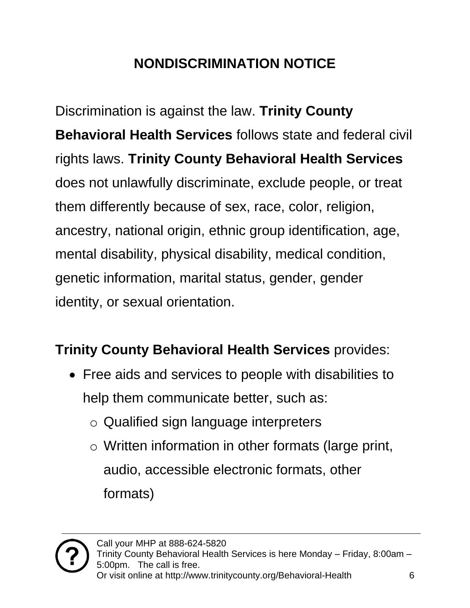## **NONDISCRIMINATION NOTICE**

<span id="page-5-0"></span>Discrimination is against the law. **Trinity County Behavioral Health Services** follows state and federal civil rights laws. **Trinity County Behavioral Health Services**  does not unlawfully discriminate, exclude people, or treat them differently because of sex, race, color, religion, ancestry, national origin, ethnic group identification, age, mental disability, physical disability, medical condition, genetic information, marital status, gender, gender identity, or sexual orientation.

### **Trinity County Behavioral Health Services** provides:

- Free aids and services to people with disabilities to help them communicate better, such as:
	- o Qualified sign language interpreters
	- o Written information in other formats (large print, audio, accessible electronic formats, other formats)

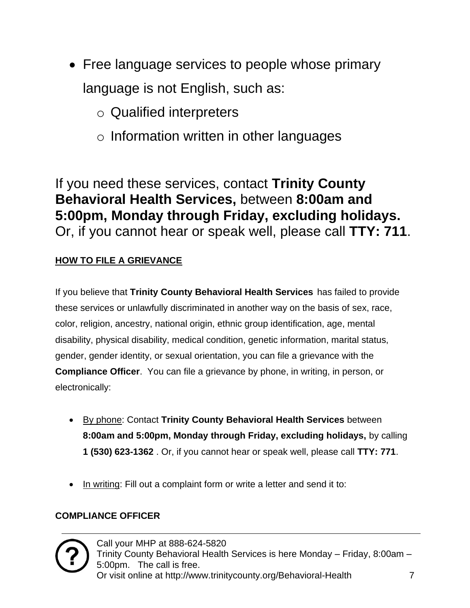- Free language services to people whose primary language is not English, such as:
	- o Qualified interpreters
	- o Information written in other languages

If you need these services, contact **Trinity County Behavioral Health Services,** between **8:00am and 5:00pm, Monday through Friday, excluding holidays.** Or, if you cannot hear or speak well, please call **TTY: 711**.

#### **HOW TO FILE A GRIEVANCE**

If you believe that **Trinity County Behavioral Health Services** has failed to provide these services or unlawfully discriminated in another way on the basis of sex, race, color, religion, ancestry, national origin, ethnic group identification, age, mental disability, physical disability, medical condition, genetic information, marital status, gender, gender identity, or sexual orientation, you can file a grievance with the **Compliance Officer**. You can file a grievance by phone, in writing, in person, or electronically:

- By phone: Contact **Trinity County Behavioral Health Services** between **8:00am and 5:00pm, Monday through Friday, excluding holidays,** by calling **1 (530) 623-1362** . Or, if you cannot hear or speak well, please call **TTY: 771**.
- In writing: Fill out a complaint form or write a letter and send it to:

#### **COMPLIANCE OFFICER**

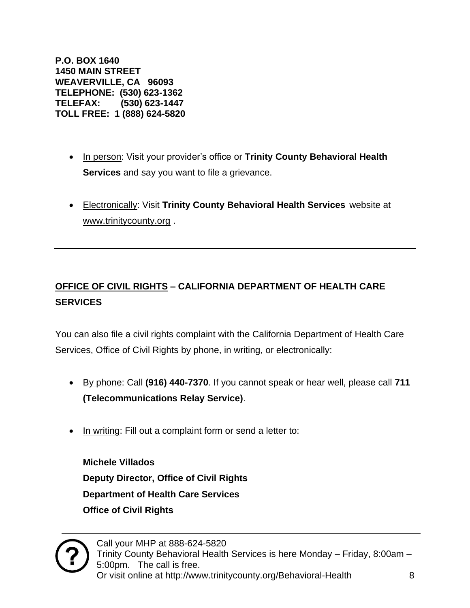**P.O. BOX 1640 1450 MAIN STREET WEAVERVILLE, CA 96093 TELEPHONE: (530) 623-1362 TELEFAX: (530) 623-1447 TOLL FREE: 1 (888) 624-5820**

- In person: Visit your provider's office or **Trinity County Behavioral Health Services** and say you want to file a grievance.
- Electronically: Visit **Trinity County Behavioral Health Services** website at [www.trinitycounty.org](http://www.trinitycounty.org/) .

#### **OFFICE OF CIVIL RIGHTS – CALIFORNIA DEPARTMENT OF HEALTH CARE SERVICES**

You can also file a civil rights complaint with the California Department of Health Care Services, Office of Civil Rights by phone, in writing, or electronically:

- By phone: Call **(916) 440-7370**. If you cannot speak or hear well, please call **711 (Telecommunications Relay Service)**.
- In writing: Fill out a complaint form or send a letter to:

**Michele Villados Deputy Director, Office of Civil Rights Department of Health Care Services Office of Civil Rights**

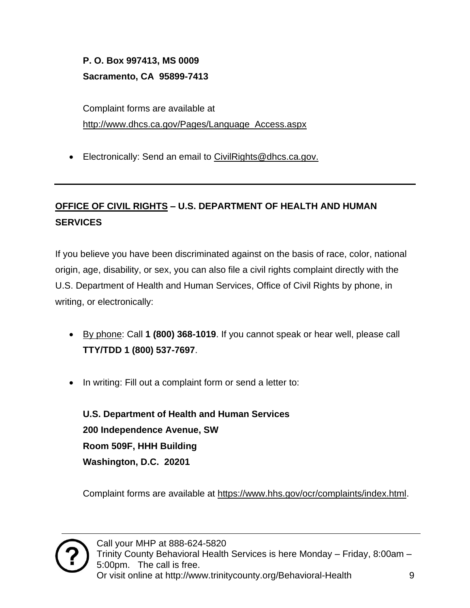**P. O. Box 997413, MS 0009 Sacramento, CA 95899-7413**

Complaint forms are available at [http://www.dhcs.ca.gov/Pages/Language\\_Access.aspx](http://www.dhcs.ca.gov/Pages/Language_Access.aspx)

• Electronically: Send an email to [CivilRights@dhcs.ca.gov.](mailto:CivilRights@dhcs.ca.gov)

#### **OFFICE OF CIVIL RIGHTS – U.S. DEPARTMENT OF HEALTH AND HUMAN SERVICES**

If you believe you have been discriminated against on the basis of race, color, national origin, age, disability, or sex, you can also file a civil rights complaint directly with the U.S. Department of Health and Human Services, Office of Civil Rights by phone, in writing, or electronically:

- By phone: Call **1 (800) 368-1019**. If you cannot speak or hear well, please call **TTY/TDD 1 (800) 537-7697**.
- In writing: Fill out a complaint form or send a letter to:

**U.S. Department of Health and Human Services 200 Independence Avenue, SW Room 509F, HHH Building Washington, D.C. 20201** 

Complaint forms are available at [https://www.hhs.gov/ocr/complaints/index.html.](https://www.hhs.gov/ocr/complaints/index.html)

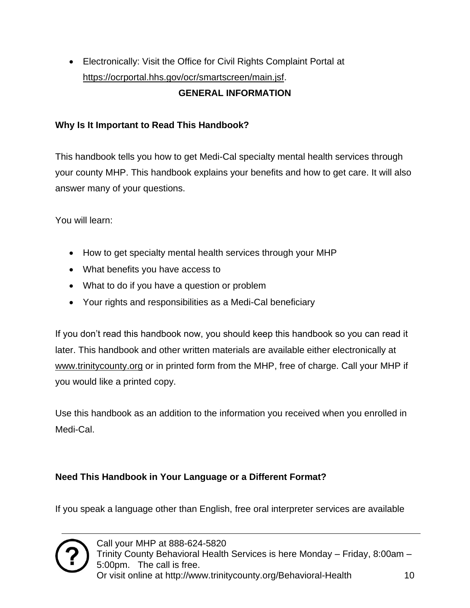• Electronically: Visit the Office for Civil Rights Complaint Portal at [https://ocrportal.hhs.gov/ocr/smartscreen/main.jsf.](https://ocrportal.hhs.gov/ocr/smartscreen/main.jsf) **GENERAL INFORMATION** 

#### <span id="page-9-0"></span>**Why Is It Important to Read This Handbook?**

This handbook tells you how to get Medi-Cal specialty mental health services through your county MHP. This handbook explains your benefits and how to get care. It will also answer many of your questions.

You will learn:

- How to get specialty mental health services through your MHP
- What benefits you have access to
- What to do if you have a question or problem
- Your rights and responsibilities as a Medi-Cal beneficiary

If you don't read this handbook now, you should keep this handbook so you can read it later. This handbook and other written materials are available either electronically at [www.trinitycounty.org](http://www.trinitycounty.org/) or in printed form from the MHP, free of charge. Call your MHP if you would like a printed copy.

Use this handbook as an addition to the information you received when you enrolled in Medi-Cal.

#### **Need This Handbook in Your Language or a Different Format?**

If you speak a language other than English, free oral interpreter services are available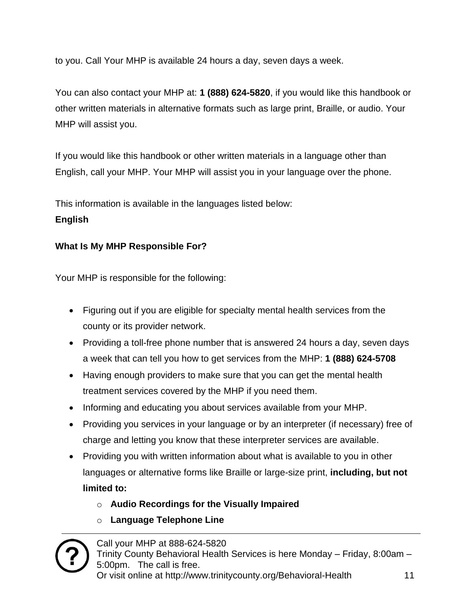to you. Call Your MHP is available 24 hours a day, seven days a week.

You can also contact your MHP at: **1 (888) 624-5820**, if you would like this handbook or other written materials in alternative formats such as large print, Braille, or audio. Your MHP will assist you.

If you would like this handbook or other written materials in a language other than English, call your MHP. Your MHP will assist you in your language over the phone.

This information is available in the languages listed below:

#### **English**

#### **What Is My MHP Responsible For?**

Your MHP is responsible for the following:

- Figuring out if you are eligible for specialty mental health services from the county or its provider network.
- Providing a toll-free phone number that is answered 24 hours a day, seven days a week that can tell you how to get services from the MHP: **1 (888) 624-5708**
- Having enough providers to make sure that you can get the mental health treatment services covered by the MHP if you need them.
- Informing and educating you about services available from your MHP.
- Providing you services in your language or by an interpreter (if necessary) free of charge and letting you know that these interpreter services are available.
- Providing you with written information about what is available to you in other languages or alternative forms like Braille or large-size print, **including, but not limited to:** 
	- o **Audio Recordings for the Visually Impaired**
	- o **Language Telephone Line**

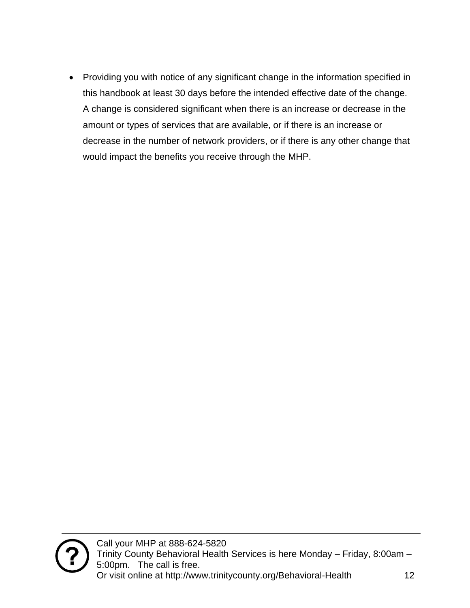• Providing you with notice of any significant change in the information specified in this handbook at least 30 days before the intended effective date of the change. A change is considered significant when there is an increase or decrease in the amount or types of services that are available, or if there is an increase or decrease in the number of network providers, or if there is any other change that would impact the benefits you receive through the MHP.

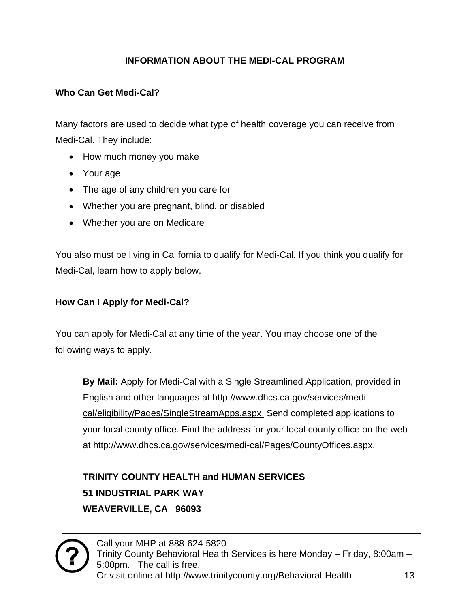#### **INFORMATION ABOUT THE MEDI-CAL PROGRAM**

#### <span id="page-12-0"></span>**Who Can Get Medi-Cal?**

Many factors are used to decide what type of health coverage you can receive from Medi-Cal. They include:

- How much money you make
- Your age
- The age of any children you care for
- Whether you are pregnant, blind, or disabled
- Whether you are on Medicare

You also must be living in California to qualify for Medi-Cal. If you think you qualify for Medi-Cal, learn how to apply below.

#### **How Can I Apply for Medi-Cal?**

You can apply for Medi-Cal at any time of the year. You may choose one of the following ways to apply.

**By Mail:** Apply for Medi-Cal with a Single Streamlined Application, provided in English and other languages at [http://www.dhcs.ca.gov/services/medi](http://www.dhcs.ca.gov/services/medi-cal/eligibility/Pages/SingleStreamApps.aspx)[cal/eligibility/Pages/SingleStreamApps.aspx.](http://www.dhcs.ca.gov/services/medi-cal/eligibility/Pages/SingleStreamApps.aspx) Send completed applications to your local county office. Find the address for your local county office on the web at [http://www.dhcs.ca.gov/services/medi-cal/Pages/CountyOffices.aspx.](http://www.dhcs.ca.gov/services/medi-cal/Pages/CountyOffices.aspx)

**TRINITY COUNTY HEALTH and HUMAN SERVICES 51 INDUSTRIAL PARK WAY WEAVERVILLE, CA 96093**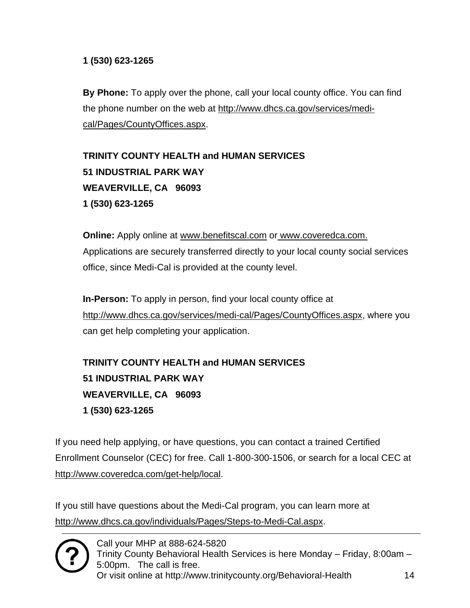#### **1 (530) 623-1265**

**By Phone:** To apply over the phone, call your local county office. You can find the phone number on the web at [http://www.dhcs.ca.gov/services/medi](http://www.dhcs.ca.gov/services/medi-cal/Pages/CountyOffices.aspx)[cal/Pages/CountyOffices.aspx.](http://www.dhcs.ca.gov/services/medi-cal/Pages/CountyOffices.aspx)

**TRINITY COUNTY HEALTH and HUMAN SERVICES 51 INDUSTRIAL PARK WAY WEAVERVILLE, CA 96093 1 (530) 623-1265**

**Online:** Apply online at [www.benefitscal.com](http://www.benefitscal.com/) or [www.coveredca.com.](http://www.coveredca.com/) Applications are securely transferred directly to your local county social services office, since Medi-Cal is provided at the county level.

**In-Person:** To apply in person, find your local county office at [http://www.dhcs.ca.gov/services/medi-cal/Pages/CountyOffices.aspx,](http://www.dhcs.ca.gov/services/medi-cal/Pages/CountyOffices.aspx) where you can get help completing your application.

**TRINITY COUNTY HEALTH and HUMAN SERVICES 51 INDUSTRIAL PARK WAY WEAVERVILLE, CA 96093 1 (530) 623-1265**

If you need help applying, or have questions, you can contact a trained Certified Enrollment Counselor (CEC) for free. Call 1-800-300-1506, or search for a local CEC at [http://www.coveredca.com/get-help/local.](http://www.coveredca.com/get-help/local)

If you still have questions about the Medi-Cal program, you can learn more at [http://www.dhcs.ca.gov/individuals/Pages/Steps-to-Medi-Cal.aspx.](http://www.dhcs.ca.gov/individuals/Pages/Steps-to-Medi-Cal.aspx)

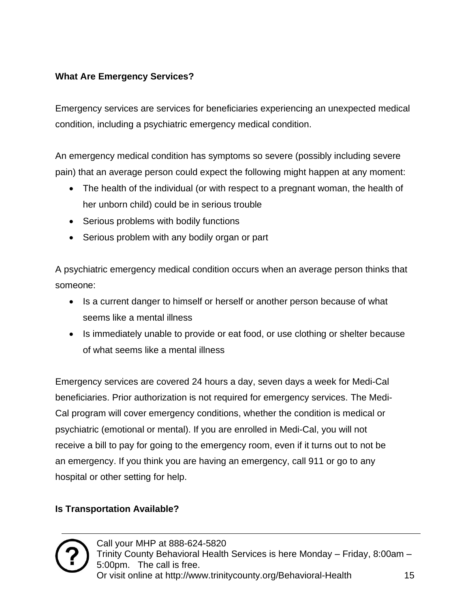#### **What Are Emergency Services?**

Emergency services are services for beneficiaries experiencing an unexpected medical condition, including a psychiatric emergency medical condition.

An emergency medical condition has symptoms so severe (possibly including severe pain) that an average person could expect the following might happen at any moment:

- The health of the individual (or with respect to a pregnant woman, the health of her unborn child) could be in serious trouble
- Serious problems with bodily functions
- Serious problem with any bodily organ or part

A psychiatric emergency medical condition occurs when an average person thinks that someone:

- Is a current danger to himself or herself or another person because of what seems like a mental illness
- Is immediately unable to provide or eat food, or use clothing or shelter because of what seems like a mental illness

Emergency services are covered 24 hours a day, seven days a week for Medi-Cal beneficiaries. Prior authorization is not required for emergency services. The Medi-Cal program will cover emergency conditions, whether the condition is medical or psychiatric (emotional or mental). If you are enrolled in Medi-Cal, you will not receive a bill to pay for going to the emergency room, even if it turns out to not be an emergency. If you think you are having an emergency, call 911 or go to any hospital or other setting for help.

#### **Is Transportation Available?**

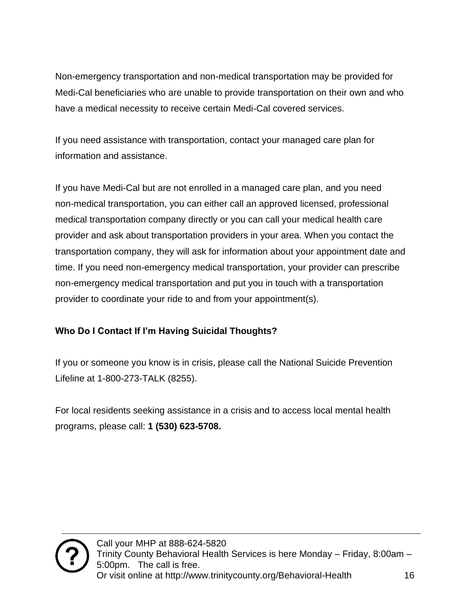Non-emergency transportation and non-medical transportation may be provided for Medi-Cal beneficiaries who are unable to provide transportation on their own and who have a medical necessity to receive certain Medi-Cal covered services.

If you need assistance with transportation, contact your managed care plan for information and assistance.

If you have Medi-Cal but are not enrolled in a managed care plan, and you need non-medical transportation, you can either call an approved licensed, professional medical transportation company directly or you can call your medical health care provider and ask about transportation providers in your area. When you contact the transportation company, they will ask for information about your appointment date and time. If you need non-emergency medical transportation, your provider can prescribe non-emergency medical transportation and put you in touch with a transportation provider to coordinate your ride to and from your appointment(s).

#### **Who Do I Contact If I'm Having Suicidal Thoughts?**

If you or someone you know is in crisis, please call the National Suicide Prevention Lifeline at 1-800-273-TALK (8255).

For local residents seeking assistance in a crisis and to access local mental health programs, please call: **1 (530) 623-5708.**

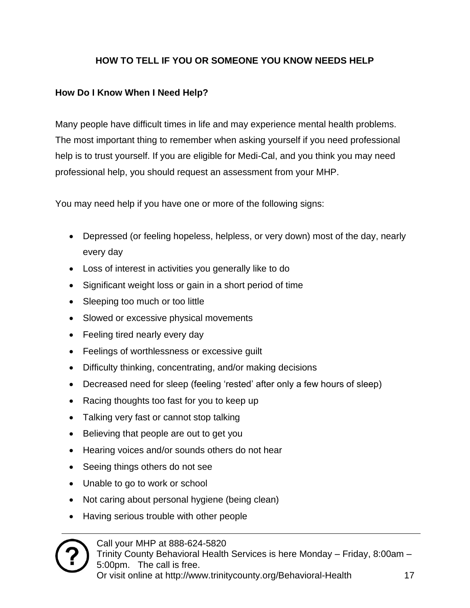#### **HOW TO TELL IF YOU OR SOMEONE YOU KNOW NEEDS HELP**

#### <span id="page-16-0"></span>**How Do I Know When I Need Help?**

Many people have difficult times in life and may experience mental health problems. The most important thing to remember when asking yourself if you need professional help is to trust yourself. If you are eligible for Medi-Cal, and you think you may need professional help, you should request an assessment from your MHP.

You may need help if you have one or more of the following signs:

- Depressed (or feeling hopeless, helpless, or very down) most of the day, nearly every day
- Loss of interest in activities you generally like to do
- Significant weight loss or gain in a short period of time
- Sleeping too much or too little
- Slowed or excessive physical movements
- Feeling tired nearly every day
- Feelings of worthlessness or excessive guilt
- Difficulty thinking, concentrating, and/or making decisions
- Decreased need for sleep (feeling 'rested' after only a few hours of sleep)
- Racing thoughts too fast for you to keep up
- Talking very fast or cannot stop talking
- Believing that people are out to get you
- Hearing voices and/or sounds others do not hear
- Seeing things others do not see
- Unable to go to work or school
- Not caring about personal hygiene (being clean)
- Having serious trouble with other people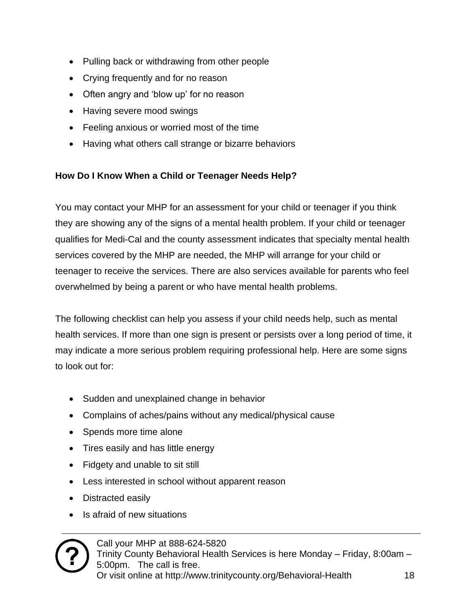- Pulling back or withdrawing from other people
- Crying frequently and for no reason
- Often angry and 'blow up' for no reason
- Having severe mood swings
- Feeling anxious or worried most of the time
- Having what others call strange or bizarre behaviors

#### **How Do I Know When a Child or Teenager Needs Help?**

You may contact your MHP for an assessment for your child or teenager if you think they are showing any of the signs of a mental health problem. If your child or teenager qualifies for Medi-Cal and the county assessment indicates that specialty mental health services covered by the MHP are needed, the MHP will arrange for your child or teenager to receive the services. There are also services available for parents who feel overwhelmed by being a parent or who have mental health problems.

The following checklist can help you assess if your child needs help, such as mental health services. If more than one sign is present or persists over a long period of time, it may indicate a more serious problem requiring professional help. Here are some signs to look out for:

- Sudden and unexplained change in behavior
- Complains of aches/pains without any medical/physical cause
- Spends more time alone
- Tires easily and has little energy
- Fidgety and unable to sit still
- Less interested in school without apparent reason
- Distracted easily
- Is afraid of new situations

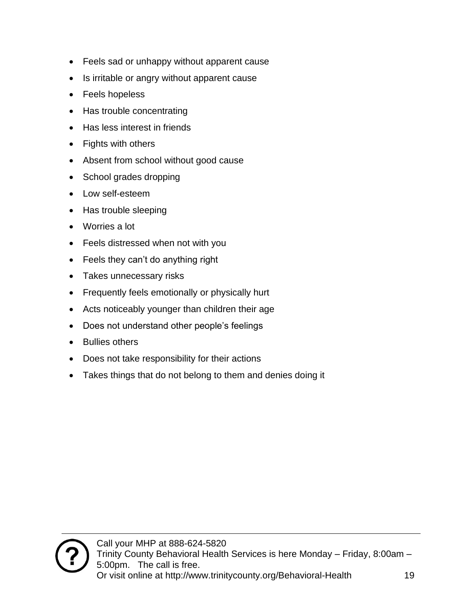- Feels sad or unhappy without apparent cause
- Is irritable or angry without apparent cause
- Feels hopeless
- Has trouble concentrating
- Has less interest in friends
- Fights with others
- Absent from school without good cause
- School grades dropping
- Low self-esteem
- Has trouble sleeping
- Worries a lot
- Feels distressed when not with you
- Feels they can't do anything right
- Takes unnecessary risks
- Frequently feels emotionally or physically hurt
- Acts noticeably younger than children their age
- Does not understand other people's feelings
- Bullies others
- Does not take responsibility for their actions
- Takes things that do not belong to them and denies doing it

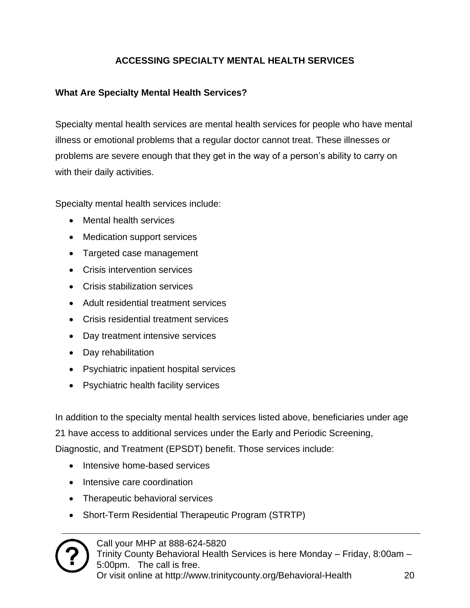#### **ACCESSING SPECIALTY MENTAL HEALTH SERVICES**

#### <span id="page-19-0"></span>**What Are Specialty Mental Health Services?**

Specialty mental health services are mental health services for people who have mental illness or emotional problems that a regular doctor cannot treat. These illnesses or problems are severe enough that they get in the way of a person's ability to carry on with their daily activities.

Specialty mental health services include:

- Mental health services
- Medication support services
- Targeted case management
- Crisis intervention services
- Crisis stabilization services
- Adult residential treatment services
- Crisis residential treatment services
- Day treatment intensive services
- Day rehabilitation
- Psychiatric inpatient hospital services
- Psychiatric health facility services

In addition to the specialty mental health services listed above, beneficiaries under age 21 have access to additional services under the Early and Periodic Screening, Diagnostic, and Treatment (EPSDT) benefit. Those services include:

- Intensive home-based services
- Intensive care coordination
- Therapeutic behavioral services
- Short-Term Residential Therapeutic Program (STRTP)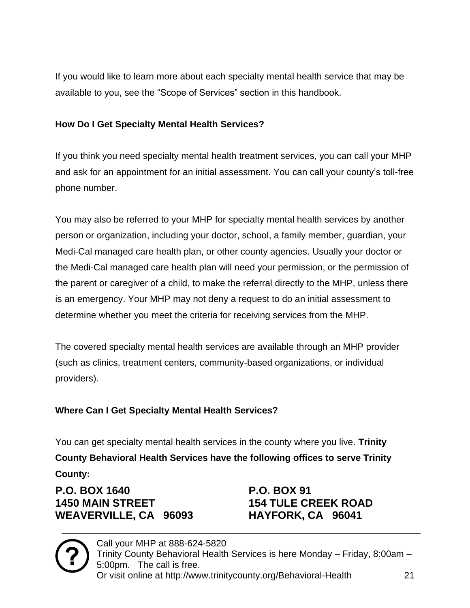If you would like to learn more about each specialty mental health service that may be available to you, see the "Scope of Services" section in this handbook.

#### **How Do I Get Specialty Mental Health Services?**

If you think you need specialty mental health treatment services, you can call your MHP and ask for an appointment for an initial assessment. You can call your county's toll-free phone number.

You may also be referred to your MHP for specialty mental health services by another person or organization, including your doctor, school, a family member, guardian, your Medi-Cal managed care health plan, or other county agencies. Usually your doctor or the Medi-Cal managed care health plan will need your permission, or the permission of the parent or caregiver of a child, to make the referral directly to the MHP, unless there is an emergency. Your MHP may not deny a request to do an initial assessment to determine whether you meet the criteria for receiving services from the MHP.

The covered specialty mental health services are available through an MHP provider (such as clinics, treatment centers, community-based organizations, or individual providers).

#### **Where Can I Get Specialty Mental Health Services?**

You can get specialty mental health services in the county where you live. **Trinity County Behavioral Health Services have the following offices to serve Trinity County:**

**P.O. BOX 1640 P.O. BOX 91 1450 MAIN STREET 154 TULE CREEK ROAD WEAVERVILLE, CA 96093 HAYFORK, CA 96041**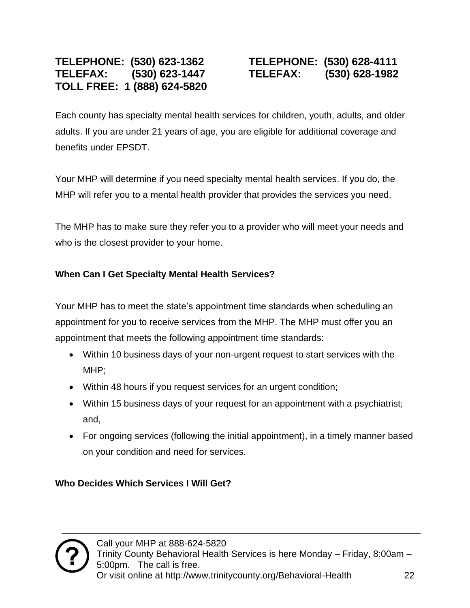#### **TELEPHONE: (530) 623-1362 TELEPHONE: (530) 628-4111 TELEFAX: (530) 623-1447 TELEFAX: (530) 628-1982 TOLL FREE: 1 (888) 624-5820**

Each county has specialty mental health services for children, youth, adults, and older adults. If you are under 21 years of age, you are eligible for additional coverage and benefits under EPSDT.

Your MHP will determine if you need specialty mental health services. If you do, the MHP will refer you to a mental health provider that provides the services you need.

The MHP has to make sure they refer you to a provider who will meet your needs and who is the closest provider to your home.

#### **When Can I Get Specialty Mental Health Services?**

Your MHP has to meet the state's appointment time standards when scheduling an appointment for you to receive services from the MHP. The MHP must offer you an appointment that meets the following appointment time standards:

- Within 10 business days of your non-urgent request to start services with the MHP;
- Within 48 hours if you request services for an urgent condition;
- Within 15 business days of your request for an appointment with a psychiatrist; and,
- For ongoing services (following the initial appointment), in a timely manner based on your condition and need for services.

**Who Decides Which Services I Will Get?**

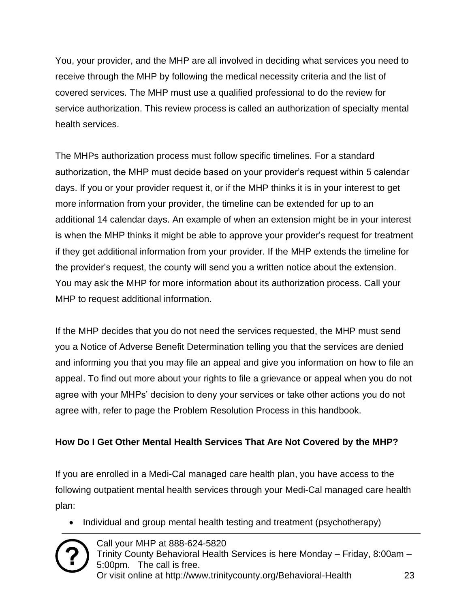You, your provider, and the MHP are all involved in deciding what services you need to receive through the MHP by following the medical necessity criteria and the list of covered services. The MHP must use a qualified professional to do the review for service authorization. This review process is called an authorization of specialty mental health services.

The MHPs authorization process must follow specific timelines. For a standard authorization, the MHP must decide based on your provider's request within 5 calendar days. If you or your provider request it, or if the MHP thinks it is in your interest to get more information from your provider, the timeline can be extended for up to an additional 14 calendar days. An example of when an extension might be in your interest is when the MHP thinks it might be able to approve your provider's request for treatment if they get additional information from your provider. If the MHP extends the timeline for the provider's request, the county will send you a written notice about the extension. You may ask the MHP for more information about its authorization process. Call your MHP to request additional information.

If the MHP decides that you do not need the services requested, the MHP must send you a Notice of Adverse Benefit Determination telling you that the services are denied and informing you that you may file an appeal and give you information on how to file an appeal. To find out more about your rights to file a grievance or appeal when you do not agree with your MHPs' decision to deny your services or take other actions you do not agree with, refer to page the Problem Resolution Process in this handbook.

#### **How Do I Get Other Mental Health Services That Are Not Covered by the MHP?**

If you are enrolled in a Medi-Cal managed care health plan, you have access to the following outpatient mental health services through your Medi-Cal managed care health plan:

• Individual and group mental health testing and treatment (psychotherapy)

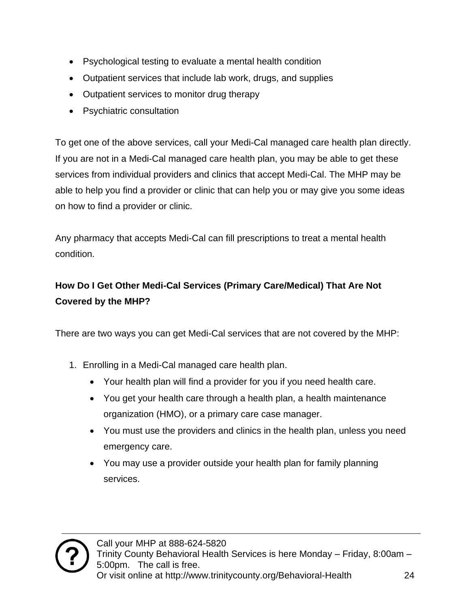- Psychological testing to evaluate a mental health condition
- Outpatient services that include lab work, drugs, and supplies
- Outpatient services to monitor drug therapy
- Psychiatric consultation

To get one of the above services, call your Medi-Cal managed care health plan directly. If you are not in a Medi-Cal managed care health plan, you may be able to get these services from individual providers and clinics that accept Medi-Cal. The MHP may be able to help you find a provider or clinic that can help you or may give you some ideas on how to find a provider or clinic.

Any pharmacy that accepts Medi-Cal can fill prescriptions to treat a mental health condition.

#### **How Do I Get Other Medi-Cal Services (Primary Care/Medical) That Are Not Covered by the MHP?**

There are two ways you can get Medi-Cal services that are not covered by the MHP:

- 1. Enrolling in a Medi-Cal managed care health plan.
	- Your health plan will find a provider for you if you need health care.
	- You get your health care through a health plan, a health maintenance organization (HMO), or a primary care case manager.
	- You must use the providers and clinics in the health plan, unless you need emergency care.
	- You may use a provider outside your health plan for family planning services.

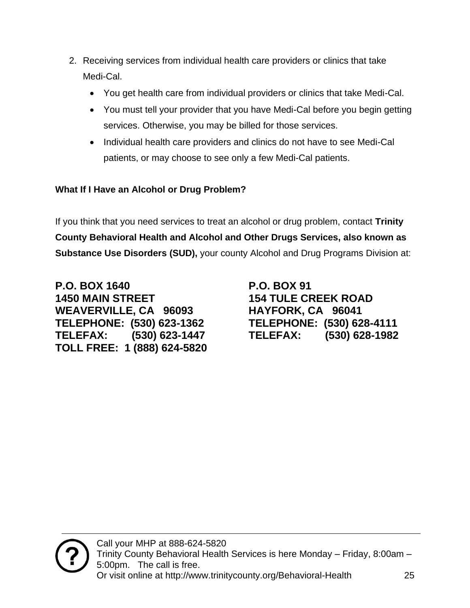- 2. Receiving services from individual health care providers or clinics that take Medi-Cal.
	- You get health care from individual providers or clinics that take Medi-Cal.
	- You must tell your provider that you have Medi-Cal before you begin getting services. Otherwise, you may be billed for those services.
	- Individual health care providers and clinics do not have to see Medi-Cal patients, or may choose to see only a few Medi-Cal patients.

#### **What If I Have an Alcohol or Drug Problem?**

If you think that you need services to treat an alcohol or drug problem, contact **Trinity County Behavioral Health and Alcohol and Other Drugs Services, also known as Substance Use Disorders (SUD),** your county Alcohol and Drug Programs Division at:

**P.O. BOX 1640 P.O. BOX 91 1450 MAIN STREET 154 TULE CREEK ROAD WEAVERVILLE, CA 96093 HAYFORK, CA 96041 TELEPHONE: (530) 623-1362 TELEPHONE: (530) 628-4111 TELEFAX: (530) 623-1447 TELEFAX: (530) 628-1982 TOLL FREE: 1 (888) 624-5820**

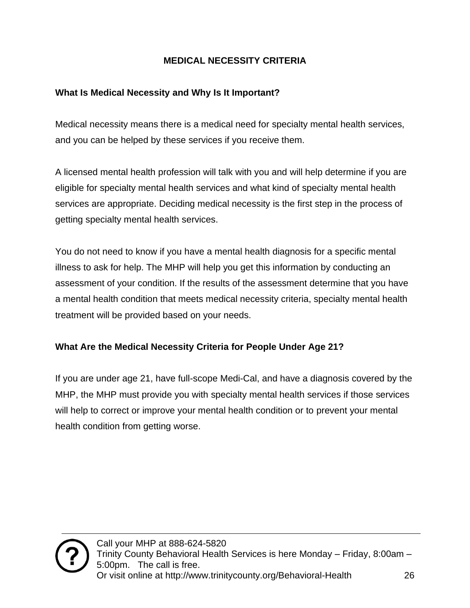#### **MEDICAL NECESSITY CRITERIA**

#### <span id="page-25-0"></span>**What Is Medical Necessity and Why Is It Important?**

Medical necessity means there is a medical need for specialty mental health services, and you can be helped by these services if you receive them.

A licensed mental health profession will talk with you and will help determine if you are eligible for specialty mental health services and what kind of specialty mental health services are appropriate. Deciding medical necessity is the first step in the process of getting specialty mental health services.

You do not need to know if you have a mental health diagnosis for a specific mental illness to ask for help. The MHP will help you get this information by conducting an assessment of your condition. If the results of the assessment determine that you have a mental health condition that meets medical necessity criteria, specialty mental health treatment will be provided based on your needs.

#### **What Are the Medical Necessity Criteria for People Under Age 21?**

If you are under age 21, have full-scope Medi-Cal, and have a diagnosis covered by the MHP, the MHP must provide you with specialty mental health services if those services will help to correct or improve your mental health condition or to prevent your mental health condition from getting worse.

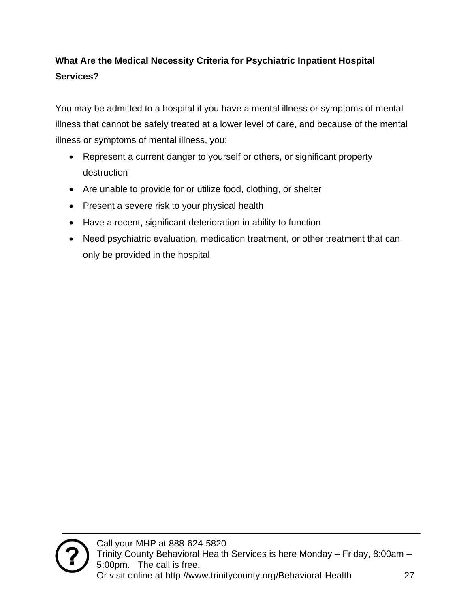#### **What Are the Medical Necessity Criteria for Psychiatric Inpatient Hospital Services?**

You may be admitted to a hospital if you have a mental illness or symptoms of mental illness that cannot be safely treated at a lower level of care, and because of the mental illness or symptoms of mental illness, you:

- Represent a current danger to yourself or others, or significant property destruction
- Are unable to provide for or utilize food, clothing, or shelter
- Present a severe risk to your physical health
- Have a recent, significant deterioration in ability to function
- Need psychiatric evaluation, medication treatment, or other treatment that can only be provided in the hospital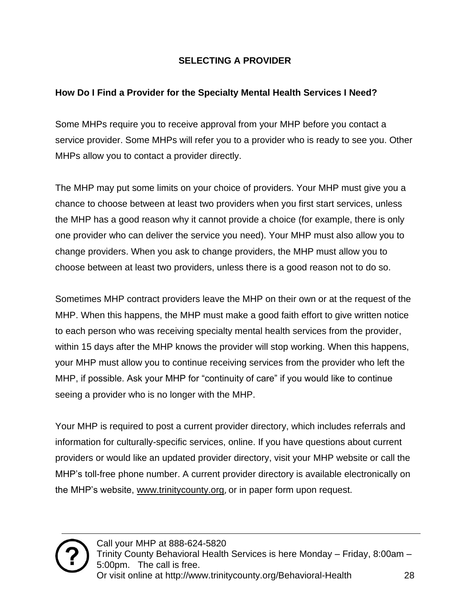#### **SELECTING A PROVIDER**

#### <span id="page-27-0"></span>**How Do I Find a Provider for the Specialty Mental Health Services I Need?**

Some MHPs require you to receive approval from your MHP before you contact a service provider. Some MHPs will refer you to a provider who is ready to see you. Other MHPs allow you to contact a provider directly.

The MHP may put some limits on your choice of providers. Your MHP must give you a chance to choose between at least two providers when you first start services, unless the MHP has a good reason why it cannot provide a choice (for example, there is only one provider who can deliver the service you need). Your MHP must also allow you to change providers. When you ask to change providers, the MHP must allow you to choose between at least two providers, unless there is a good reason not to do so.

Sometimes MHP contract providers leave the MHP on their own or at the request of the MHP. When this happens, the MHP must make a good faith effort to give written notice to each person who was receiving specialty mental health services from the provider, within 15 days after the MHP knows the provider will stop working. When this happens, your MHP must allow you to continue receiving services from the provider who left the MHP, if possible. Ask your MHP for "continuity of care" if you would like to continue seeing a provider who is no longer with the MHP.

Your MHP is required to post a current provider directory, which includes referrals and information for culturally-specific services, online. If you have questions about current providers or would like an updated provider directory, visit your MHP website or call the MHP's toll-free phone number. A current provider directory is available electronically on the MHP's website, [www.trinitycounty.org](http://www.trinitycounty.org/), or in paper form upon request.

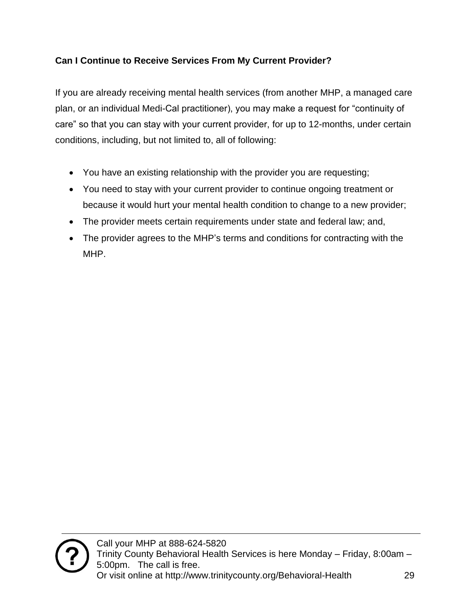#### **Can I Continue to Receive Services From My Current Provider?**

If you are already receiving mental health services (from another MHP, a managed care plan, or an individual Medi-Cal practitioner), you may make a request for "continuity of care" so that you can stay with your current provider, for up to 12-months, under certain conditions, including, but not limited to, all of following:

- You have an existing relationship with the provider you are requesting;
- You need to stay with your current provider to continue ongoing treatment or because it would hurt your mental health condition to change to a new provider;
- The provider meets certain requirements under state and federal law; and,
- The provider agrees to the MHP's terms and conditions for contracting with the MHP.

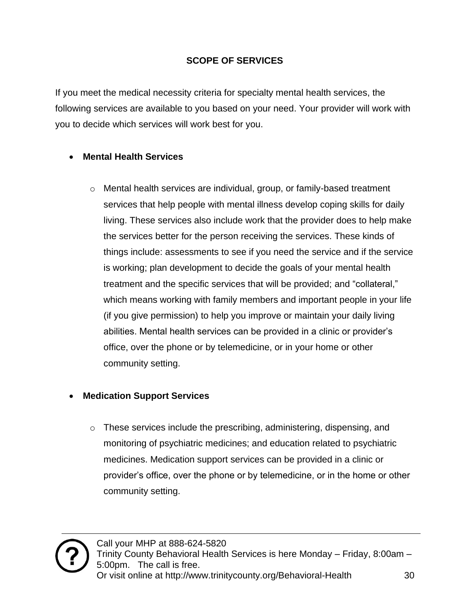#### **SCOPE OF SERVICES**

<span id="page-29-0"></span>If you meet the medical necessity criteria for specialty mental health services, the following services are available to you based on your need. Your provider will work with you to decide which services will work best for you.

#### • **Mental Health Services**

o Mental health services are individual, group, or family-based treatment services that help people with mental illness develop coping skills for daily living. These services also include work that the provider does to help make the services better for the person receiving the services. These kinds of things include: assessments to see if you need the service and if the service is working; plan development to decide the goals of your mental health treatment and the specific services that will be provided; and "collateral," which means working with family members and important people in your life (if you give permission) to help you improve or maintain your daily living abilities. Mental health services can be provided in a clinic or provider's office, over the phone or by telemedicine, or in your home or other community setting.

#### • **Medication Support Services**

 $\circ$  These services include the prescribing, administering, dispensing, and monitoring of psychiatric medicines; and education related to psychiatric medicines. Medication support services can be provided in a clinic or provider's office, over the phone or by telemedicine, or in the home or other community setting.

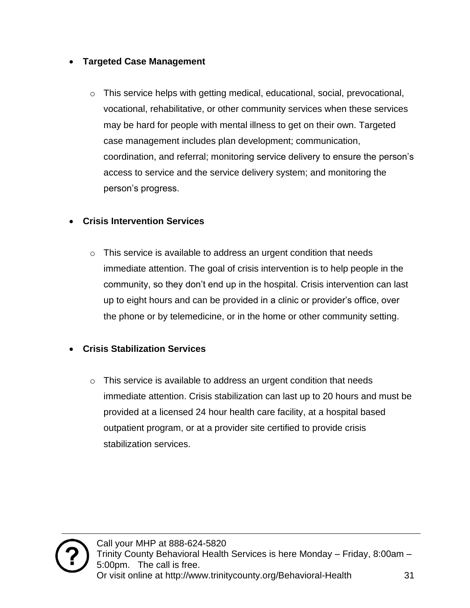#### • **Targeted Case Management**

 $\circ$  This service helps with getting medical, educational, social, prevocational, vocational, rehabilitative, or other community services when these services may be hard for people with mental illness to get on their own. Targeted case management includes plan development; communication, coordination, and referral; monitoring service delivery to ensure the person's access to service and the service delivery system; and monitoring the person's progress.

#### • **Crisis Intervention Services**

 $\circ$  This service is available to address an urgent condition that needs immediate attention. The goal of crisis intervention is to help people in the community, so they don't end up in the hospital. Crisis intervention can last up to eight hours and can be provided in a clinic or provider's office, over the phone or by telemedicine, or in the home or other community setting.

#### • **Crisis Stabilization Services**

 $\circ$  This service is available to address an urgent condition that needs immediate attention. Crisis stabilization can last up to 20 hours and must be provided at a licensed 24 hour health care facility, at a hospital based outpatient program, or at a provider site certified to provide crisis stabilization services.

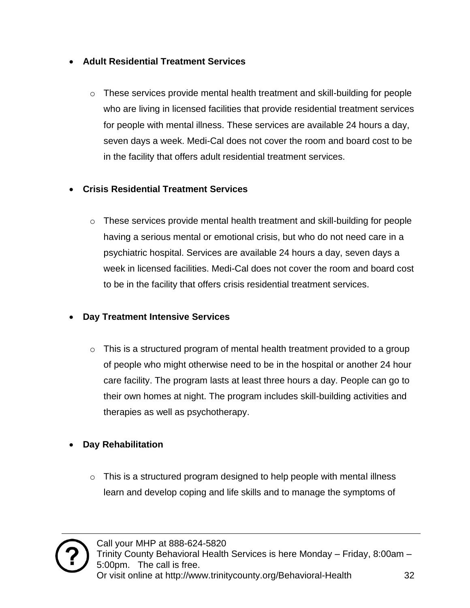#### • **Adult Residential Treatment Services**

 $\circ$  These services provide mental health treatment and skill-building for people who are living in licensed facilities that provide residential treatment services for people with mental illness. These services are available 24 hours a day, seven days a week. Medi-Cal does not cover the room and board cost to be in the facility that offers adult residential treatment services.

#### • **Crisis Residential Treatment Services**

 $\circ$  These services provide mental health treatment and skill-building for people having a serious mental or emotional crisis, but who do not need care in a psychiatric hospital. Services are available 24 hours a day, seven days a week in licensed facilities. Medi-Cal does not cover the room and board cost to be in the facility that offers crisis residential treatment services.

#### • **Day Treatment Intensive Services**

 $\circ$  This is a structured program of mental health treatment provided to a group of people who might otherwise need to be in the hospital or another 24 hour care facility. The program lasts at least three hours a day. People can go to their own homes at night. The program includes skill-building activities and therapies as well as psychotherapy.

#### • **Day Rehabilitation**

 $\circ$  This is a structured program designed to help people with mental illness learn and develop coping and life skills and to manage the symptoms of

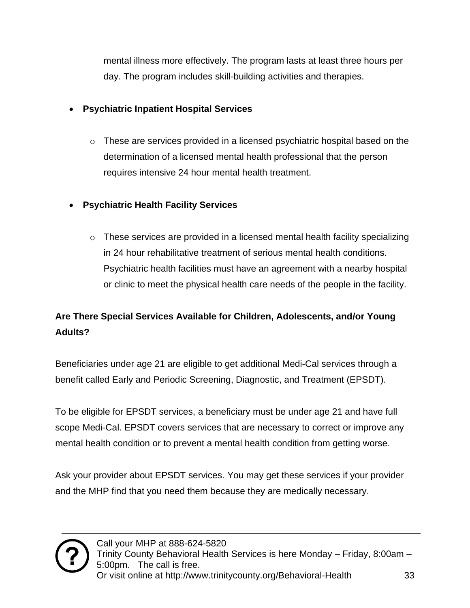mental illness more effectively. The program lasts at least three hours per day. The program includes skill-building activities and therapies.

#### • **Psychiatric Inpatient Hospital Services**

- $\circ$  These are services provided in a licensed psychiatric hospital based on the determination of a licensed mental health professional that the person requires intensive 24 hour mental health treatment.
- **Psychiatric Health Facility Services**
	- $\circ$  These services are provided in a licensed mental health facility specializing in 24 hour rehabilitative treatment of serious mental health conditions. Psychiatric health facilities must have an agreement with a nearby hospital or clinic to meet the physical health care needs of the people in the facility.

### **Are There Special Services Available for Children, Adolescents, and/or Young Adults?**

Beneficiaries under age 21 are eligible to get additional Medi-Cal services through a benefit called Early and Periodic Screening, Diagnostic, and Treatment (EPSDT).

To be eligible for EPSDT services, a beneficiary must be under age 21 and have full scope Medi-Cal. EPSDT covers services that are necessary to correct or improve any mental health condition or to prevent a mental health condition from getting worse.

Ask your provider about EPSDT services. You may get these services if your provider and the MHP find that you need them because they are medically necessary.

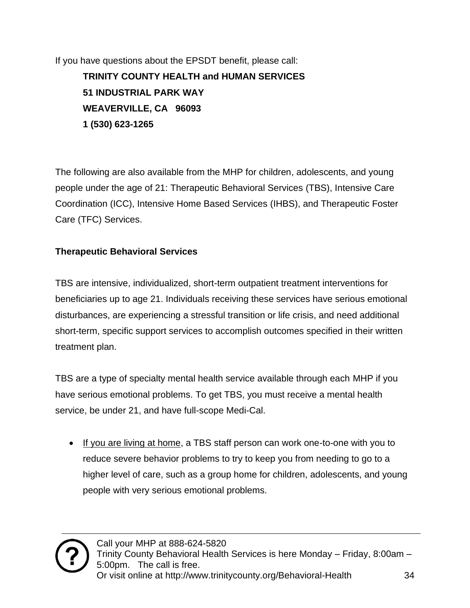If you have questions about the EPSDT benefit, please call: **TRINITY COUNTY HEALTH and HUMAN SERVICES 51 INDUSTRIAL PARK WAY WEAVERVILLE, CA 96093 1 (530) 623-1265**

The following are also available from the MHP for children, adolescents, and young people under the age of 21: Therapeutic Behavioral Services (TBS), Intensive Care Coordination (ICC), Intensive Home Based Services (IHBS), and Therapeutic Foster Care (TFC) Services.

#### **Therapeutic Behavioral Services**

TBS are intensive, individualized, short-term outpatient treatment interventions for beneficiaries up to age 21. Individuals receiving these services have serious emotional disturbances, are experiencing a stressful transition or life crisis, and need additional short-term, specific support services to accomplish outcomes specified in their written treatment plan.

TBS are a type of specialty mental health service available through each MHP if you have serious emotional problems. To get TBS, you must receive a mental health service, be under 21, and have full-scope Medi-Cal.

• If you are living at home, a TBS staff person can work one-to-one with you to reduce severe behavior problems to try to keep you from needing to go to a higher level of care, such as a group home for children, adolescents, and young people with very serious emotional problems.

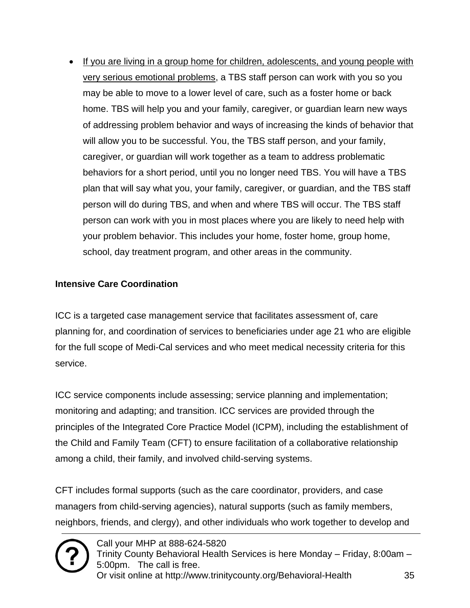• If you are living in a group home for children, adolescents, and young people with very serious emotional problems, a TBS staff person can work with you so you may be able to move to a lower level of care, such as a foster home or back home. TBS will help you and your family, caregiver, or guardian learn new ways of addressing problem behavior and ways of increasing the kinds of behavior that will allow you to be successful. You, the TBS staff person, and your family, caregiver, or guardian will work together as a team to address problematic behaviors for a short period, until you no longer need TBS. You will have a TBS plan that will say what you, your family, caregiver, or guardian, and the TBS staff person will do during TBS, and when and where TBS will occur. The TBS staff person can work with you in most places where you are likely to need help with your problem behavior. This includes your home, foster home, group home, school, day treatment program, and other areas in the community.

#### **Intensive Care Coordination**

ICC is a targeted case management service that facilitates assessment of, care planning for, and coordination of services to beneficiaries under age 21 who are eligible for the full scope of Medi-Cal services and who meet medical necessity criteria for this service.

ICC service components include assessing; service planning and implementation; monitoring and adapting; and transition. ICC services are provided through the principles of the Integrated Core Practice Model (ICPM), including the establishment of the Child and Family Team (CFT) to ensure facilitation of a collaborative relationship among a child, their family, and involved child-serving systems.

CFT includes formal supports (such as the care coordinator, providers, and case managers from child-serving agencies), natural supports (such as family members, neighbors, friends, and clergy), and other individuals who work together to develop and

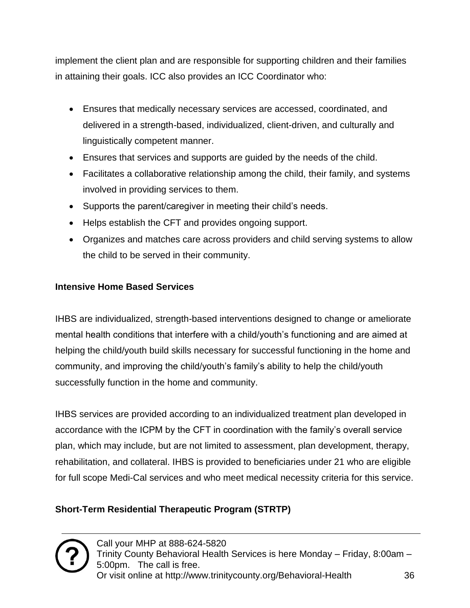implement the client plan and are responsible for supporting children and their families in attaining their goals. ICC also provides an ICC Coordinator who:

- Ensures that medically necessary services are accessed, coordinated, and delivered in a strength-based, individualized, client-driven, and culturally and linguistically competent manner.
- Ensures that services and supports are guided by the needs of the child.
- Facilitates a collaborative relationship among the child, their family, and systems involved in providing services to them.
- Supports the parent/caregiver in meeting their child's needs.
- Helps establish the CFT and provides ongoing support.
- Organizes and matches care across providers and child serving systems to allow the child to be served in their community.

#### **Intensive Home Based Services**

IHBS are individualized, strength-based interventions designed to change or ameliorate mental health conditions that interfere with a child/youth's functioning and are aimed at helping the child/youth build skills necessary for successful functioning in the home and community, and improving the child/youth's family's ability to help the child/youth successfully function in the home and community.

IHBS services are provided according to an individualized treatment plan developed in accordance with the ICPM by the CFT in coordination with the family's overall service plan, which may include, but are not limited to assessment, plan development, therapy, rehabilitation, and collateral. IHBS is provided to beneficiaries under 21 who are eligible for full scope Medi-Cal services and who meet medical necessity criteria for this service.

#### **Short-Term Residential Therapeutic Program (STRTP)**

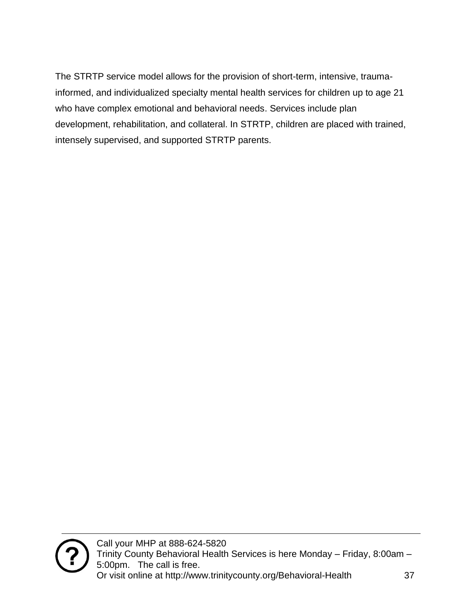The STRTP service model allows for the provision of short-term, intensive, traumainformed, and individualized specialty mental health services for children up to age 21 who have complex emotional and behavioral needs. Services include plan development, rehabilitation, and collateral. In STRTP, children are placed with trained, intensely supervised, and supported STRTP parents.

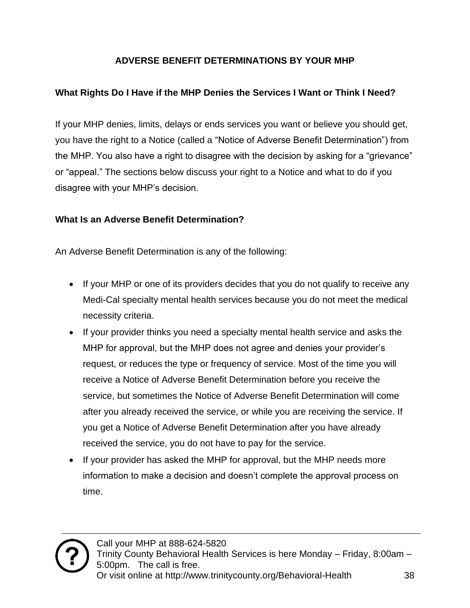#### **ADVERSE BENEFIT DETERMINATIONS BY YOUR MHP**

#### <span id="page-37-0"></span>**What Rights Do I Have if the MHP Denies the Services I Want or Think I Need?**

If your MHP denies, limits, delays or ends services you want or believe you should get, you have the right to a Notice (called a "Notice of Adverse Benefit Determination") from the MHP. You also have a right to disagree with the decision by asking for a "grievance" or "appeal." The sections below discuss your right to a Notice and what to do if you disagree with your MHP's decision.

#### **What Is an Adverse Benefit Determination?**

An Adverse Benefit Determination is any of the following:

- If your MHP or one of its providers decides that you do not qualify to receive any Medi-Cal specialty mental health services because you do not meet the medical necessity criteria.
- If your provider thinks you need a specialty mental health service and asks the MHP for approval, but the MHP does not agree and denies your provider's request, or reduces the type or frequency of service. Most of the time you will receive a Notice of Adverse Benefit Determination before you receive the service, but sometimes the Notice of Adverse Benefit Determination will come after you already received the service, or while you are receiving the service. If you get a Notice of Adverse Benefit Determination after you have already received the service, you do not have to pay for the service.
- If your provider has asked the MHP for approval, but the MHP needs more information to make a decision and doesn't complete the approval process on time.

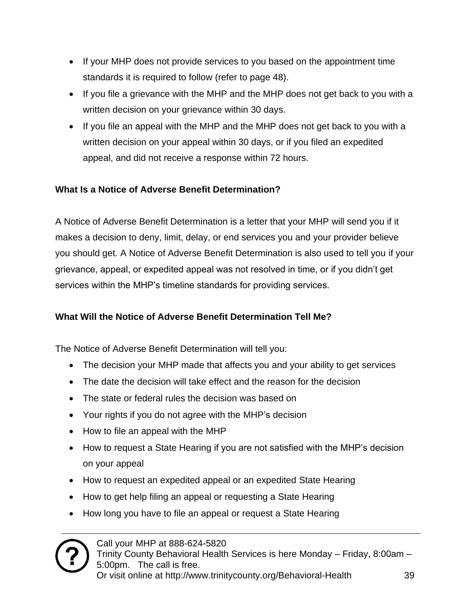- If your MHP does not provide services to you based on the appointment time standards it is required to follow (refer to page 48).
- If you file a grievance with the MHP and the MHP does not get back to you with a written decision on your grievance within 30 days.
- If you file an appeal with the MHP and the MHP does not get back to you with a written decision on your appeal within 30 days, or if you filed an expedited appeal, and did not receive a response within 72 hours.

#### **What Is a Notice of Adverse Benefit Determination?**

A Notice of Adverse Benefit Determination is a letter that your MHP will send you if it makes a decision to deny, limit, delay, or end services you and your provider believe you should get. A Notice of Adverse Benefit Determination is also used to tell you if your grievance, appeal, or expedited appeal was not resolved in time, or if you didn't get services within the MHP's timeline standards for providing services.

#### **What Will the Notice of Adverse Benefit Determination Tell Me?**

The Notice of Adverse Benefit Determination will tell you:

- The decision your MHP made that affects you and your ability to get services
- The date the decision will take effect and the reason for the decision
- The state or federal rules the decision was based on
- Your rights if you do not agree with the MHP's decision
- How to file an appeal with the MHP
- How to request a State Hearing if you are not satisfied with the MHP's decision on your appeal
- How to request an expedited appeal or an expedited State Hearing
- How to get help filing an appeal or requesting a State Hearing
- How long you have to file an appeal or request a State Hearing

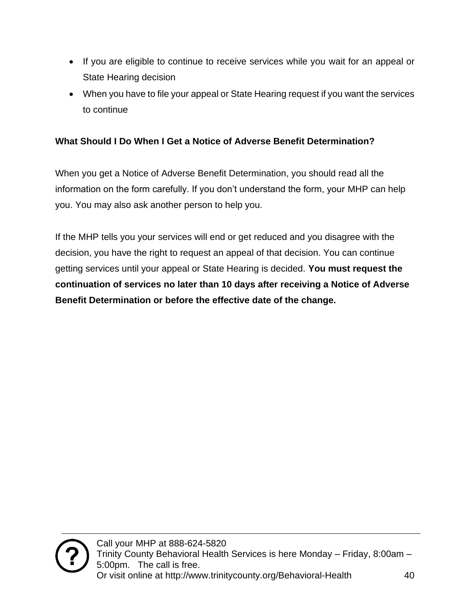- If you are eligible to continue to receive services while you wait for an appeal or State Hearing decision
- When you have to file your appeal or State Hearing request if you want the services to continue

#### **What Should I Do When I Get a Notice of Adverse Benefit Determination?**

When you get a Notice of Adverse Benefit Determination, you should read all the information on the form carefully. If you don't understand the form, your MHP can help you. You may also ask another person to help you.

If the MHP tells you your services will end or get reduced and you disagree with the decision, you have the right to request an appeal of that decision. You can continue getting services until your appeal or State Hearing is decided. **You must request the continuation of services no later than 10 days after receiving a Notice of Adverse Benefit Determination or before the effective date of the change.**

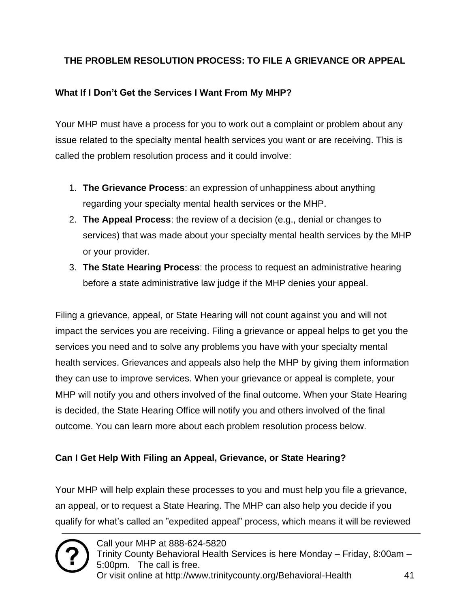#### <span id="page-40-0"></span>**THE PROBLEM RESOLUTION PROCESS: TO FILE A GRIEVANCE OR APPEAL**

#### **What If I Don't Get the Services I Want From My MHP?**

Your MHP must have a process for you to work out a complaint or problem about any issue related to the specialty mental health services you want or are receiving. This is called the problem resolution process and it could involve:

- 1. **The Grievance Process**: an expression of unhappiness about anything regarding your specialty mental health services or the MHP.
- 2. **The Appeal Process**: the review of a decision (e.g., denial or changes to services) that was made about your specialty mental health services by the MHP or your provider.
- 3. **The State Hearing Process**: the process to request an administrative hearing before a state administrative law judge if the MHP denies your appeal.

Filing a grievance, appeal, or State Hearing will not count against you and will not impact the services you are receiving. Filing a grievance or appeal helps to get you the services you need and to solve any problems you have with your specialty mental health services. Grievances and appeals also help the MHP by giving them information they can use to improve services. When your grievance or appeal is complete, your MHP will notify you and others involved of the final outcome. When your State Hearing is decided, the State Hearing Office will notify you and others involved of the final outcome. You can learn more about each problem resolution process below.

#### **Can I Get Help With Filing an Appeal, Grievance, or State Hearing?**

Your MHP will help explain these processes to you and must help you file a grievance, an appeal, or to request a State Hearing. The MHP can also help you decide if you qualify for what's called an "expedited appeal" process, which means it will be reviewed

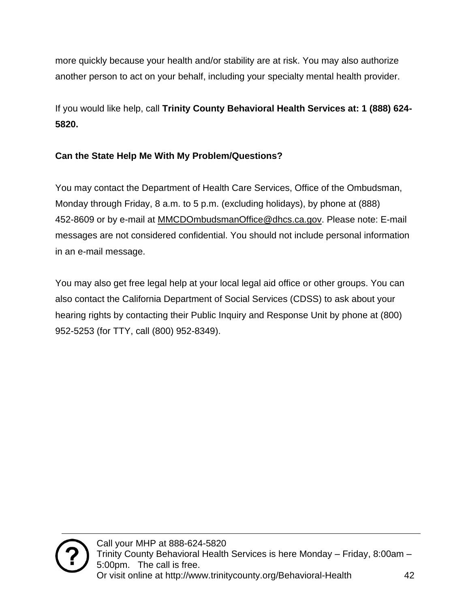more quickly because your health and/or stability are at risk. You may also authorize another person to act on your behalf, including your specialty mental health provider.

If you would like help, call **Trinity County Behavioral Health Services at: 1 (888) 624- 5820.**

#### **Can the State Help Me With My Problem/Questions?**

You may contact the Department of Health Care Services, Office of the Ombudsman, Monday through Friday, 8 a.m. to 5 p.m. (excluding holidays), by phone at (888) 452-8609 or by e-mail at [MMCDOmbudsmanOffice@dhcs.ca.gov.](mailto:MMCDOmbudsmanOffice@dhcs.ca.gov) Please note: E-mail messages are not considered confidential. You should not include personal information in an e-mail message.

You may also get free legal help at your local legal aid office or other groups. You can also contact the California Department of Social Services (CDSS) to ask about your hearing rights by contacting their Public Inquiry and Response Unit by phone at (800) 952-5253 (for TTY, call (800) 952-8349).

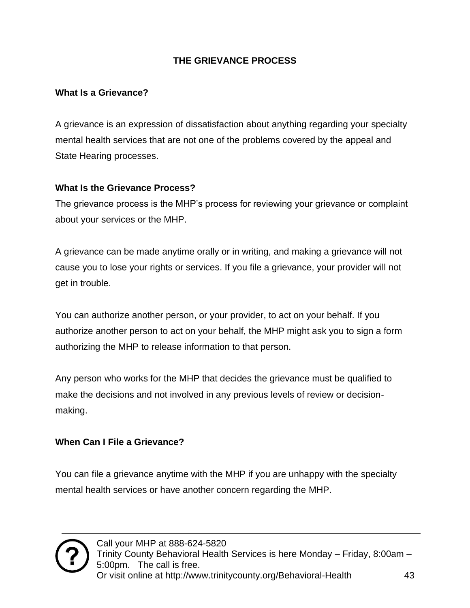#### **THE GRIEVANCE PROCESS**

#### <span id="page-42-0"></span>**What Is a Grievance?**

A grievance is an expression of dissatisfaction about anything regarding your specialty mental health services that are not one of the problems covered by the appeal and State Hearing processes.

#### **What Is the Grievance Process?**

The grievance process is the MHP's process for reviewing your grievance or complaint about your services or the MHP.

A grievance can be made anytime orally or in writing, and making a grievance will not cause you to lose your rights or services. If you file a grievance, your provider will not get in trouble.

You can authorize another person, or your provider, to act on your behalf. If you authorize another person to act on your behalf, the MHP might ask you to sign a form authorizing the MHP to release information to that person.

Any person who works for the MHP that decides the grievance must be qualified to make the decisions and not involved in any previous levels of review or decisionmaking.

#### **When Can I File a Grievance?**

You can file a grievance anytime with the MHP if you are unhappy with the specialty mental health services or have another concern regarding the MHP.

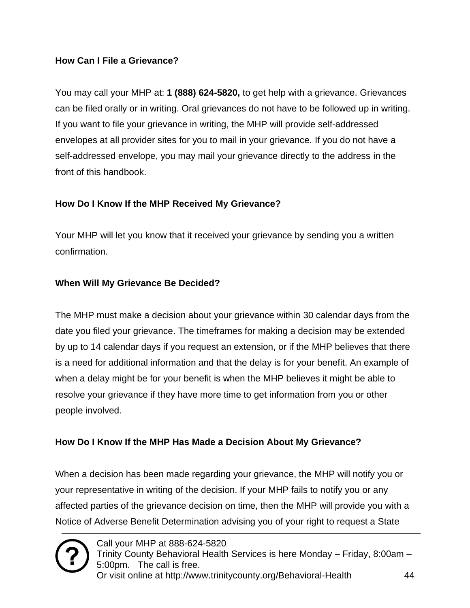#### **How Can I File a Grievance?**

You may call your MHP at: **1 (888) 624-5820,** to get help with a grievance. Grievances can be filed orally or in writing. Oral grievances do not have to be followed up in writing. If you want to file your grievance in writing, the MHP will provide self-addressed envelopes at all provider sites for you to mail in your grievance. If you do not have a self-addressed envelope, you may mail your grievance directly to the address in the front of this handbook.

#### **How Do I Know If the MHP Received My Grievance?**

Your MHP will let you know that it received your grievance by sending you a written confirmation.

#### **When Will My Grievance Be Decided?**

The MHP must make a decision about your grievance within 30 calendar days from the date you filed your grievance. The timeframes for making a decision may be extended by up to 14 calendar days if you request an extension, or if the MHP believes that there is a need for additional information and that the delay is for your benefit. An example of when a delay might be for your benefit is when the MHP believes it might be able to resolve your grievance if they have more time to get information from you or other people involved.

#### **How Do I Know If the MHP Has Made a Decision About My Grievance?**

When a decision has been made regarding your grievance, the MHP will notify you or your representative in writing of the decision. If your MHP fails to notify you or any affected parties of the grievance decision on time, then the MHP will provide you with a Notice of Adverse Benefit Determination advising you of your right to request a State

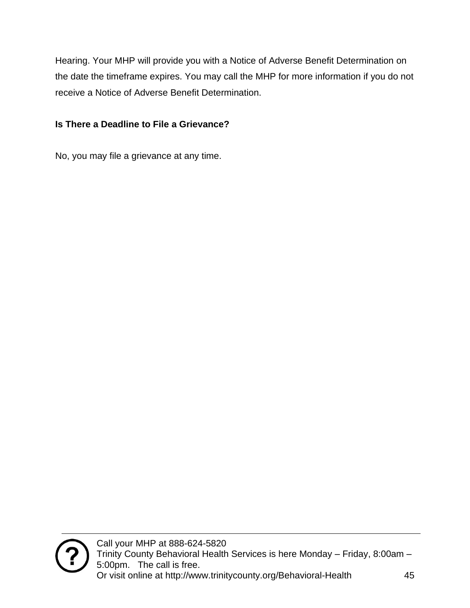Hearing. Your MHP will provide you with a Notice of Adverse Benefit Determination on the date the timeframe expires. You may call the MHP for more information if you do not receive a Notice of Adverse Benefit Determination.

#### **Is There a Deadline to File a Grievance?**

No, you may file a grievance at any time.

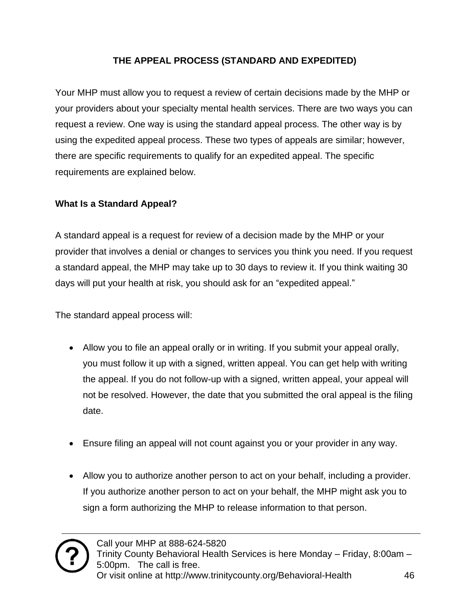#### **THE APPEAL PROCESS (STANDARD AND EXPEDITED)**

<span id="page-45-0"></span>Your MHP must allow you to request a review of certain decisions made by the MHP or your providers about your specialty mental health services. There are two ways you can request a review. One way is using the standard appeal process. The other way is by using the expedited appeal process. These two types of appeals are similar; however, there are specific requirements to qualify for an expedited appeal. The specific requirements are explained below.

#### **What Is a Standard Appeal?**

A standard appeal is a request for review of a decision made by the MHP or your provider that involves a denial or changes to services you think you need. If you request a standard appeal, the MHP may take up to 30 days to review it. If you think waiting 30 days will put your health at risk, you should ask for an "expedited appeal."

The standard appeal process will:

- Allow you to file an appeal orally or in writing. If you submit your appeal orally, you must follow it up with a signed, written appeal. You can get help with writing the appeal. If you do not follow-up with a signed, written appeal, your appeal will not be resolved. However, the date that you submitted the oral appeal is the filing date.
- Ensure filing an appeal will not count against you or your provider in any way.
- Allow you to authorize another person to act on your behalf, including a provider. If you authorize another person to act on your behalf, the MHP might ask you to sign a form authorizing the MHP to release information to that person.

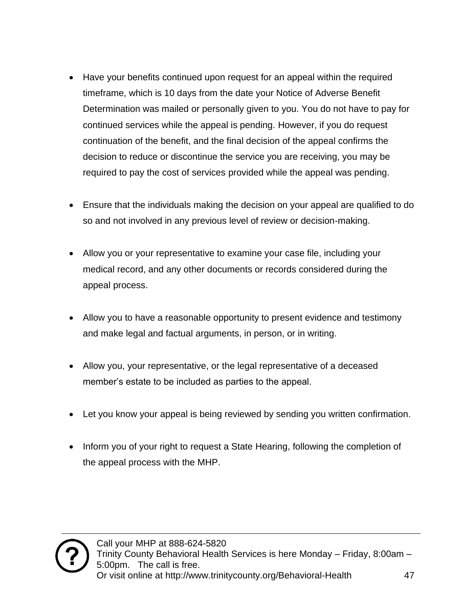- Have your benefits continued upon request for an appeal within the required timeframe, which is 10 days from the date your Notice of Adverse Benefit Determination was mailed or personally given to you. You do not have to pay for continued services while the appeal is pending. However, if you do request continuation of the benefit, and the final decision of the appeal confirms the decision to reduce or discontinue the service you are receiving, you may be required to pay the cost of services provided while the appeal was pending.
- Ensure that the individuals making the decision on your appeal are qualified to do so and not involved in any previous level of review or decision-making.
- Allow you or your representative to examine your case file, including your medical record, and any other documents or records considered during the appeal process.
- Allow you to have a reasonable opportunity to present evidence and testimony and make legal and factual arguments, in person, or in writing.
- Allow you, your representative, or the legal representative of a deceased member's estate to be included as parties to the appeal.
- Let you know your appeal is being reviewed by sending you written confirmation.
- Inform you of your right to request a State Hearing, following the completion of the appeal process with the MHP.

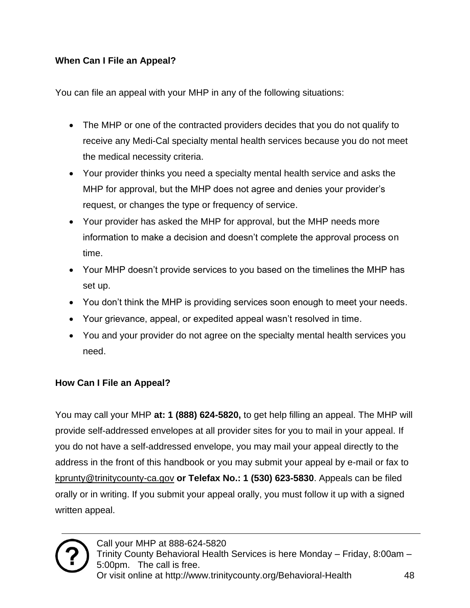#### **When Can I File an Appeal?**

You can file an appeal with your MHP in any of the following situations:

- The MHP or one of the contracted providers decides that you do not qualify to receive any Medi-Cal specialty mental health services because you do not meet the medical necessity criteria.
- Your provider thinks you need a specialty mental health service and asks the MHP for approval, but the MHP does not agree and denies your provider's request, or changes the type or frequency of service.
- Your provider has asked the MHP for approval, but the MHP needs more information to make a decision and doesn't complete the approval process on time.
- Your MHP doesn't provide services to you based on the timelines the MHP has set up.
- You don't think the MHP is providing services soon enough to meet your needs.
- Your grievance, appeal, or expedited appeal wasn't resolved in time.
- You and your provider do not agree on the specialty mental health services you need.

#### **How Can I File an Appeal?**

You may call your MHP **at: 1 (888) 624-5820,** to get help filling an appeal. The MHP will provide self-addressed envelopes at all provider sites for you to mail in your appeal. If you do not have a self-addressed envelope, you may mail your appeal directly to the address in the front of this handbook or you may submit your appeal by e-mail or fax to [kprunty@trinitycounty-ca.gov](mailto:kreimer@trinitycounty-ca.gov) **or Telefax No.: 1 (530) 623-5830**. Appeals can be filed orally or in writing. If you submit your appeal orally, you must follow it up with a signed written appeal.

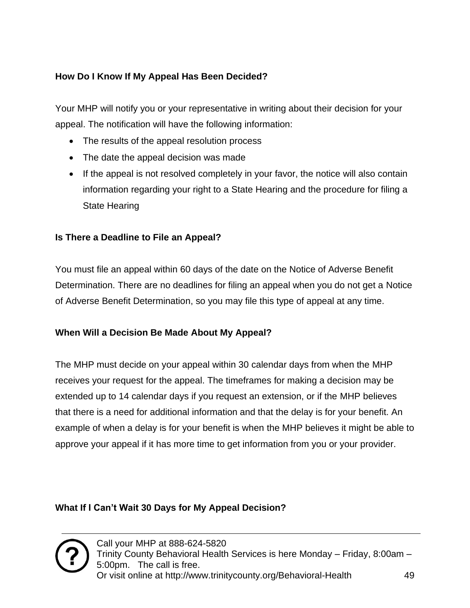#### **How Do I Know If My Appeal Has Been Decided?**

Your MHP will notify you or your representative in writing about their decision for your appeal. The notification will have the following information:

- The results of the appeal resolution process
- The date the appeal decision was made
- If the appeal is not resolved completely in your favor, the notice will also contain information regarding your right to a State Hearing and the procedure for filing a State Hearing

#### **Is There a Deadline to File an Appeal?**

You must file an appeal within 60 days of the date on the Notice of Adverse Benefit Determination. There are no deadlines for filing an appeal when you do not get a Notice of Adverse Benefit Determination, so you may file this type of appeal at any time.

#### **When Will a Decision Be Made About My Appeal?**

The MHP must decide on your appeal within 30 calendar days from when the MHP receives your request for the appeal. The timeframes for making a decision may be extended up to 14 calendar days if you request an extension, or if the MHP believes that there is a need for additional information and that the delay is for your benefit. An example of when a delay is for your benefit is when the MHP believes it might be able to approve your appeal if it has more time to get information from you or your provider.

#### **What If I Can't Wait 30 Days for My Appeal Decision?**

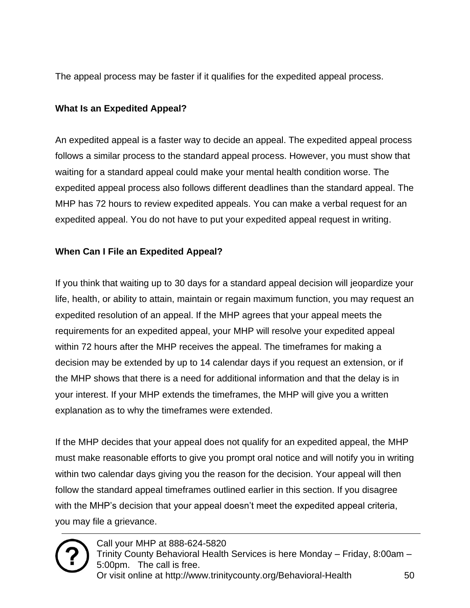The appeal process may be faster if it qualifies for the expedited appeal process.

#### **What Is an Expedited Appeal?**

An expedited appeal is a faster way to decide an appeal. The expedited appeal process follows a similar process to the standard appeal process. However, you must show that waiting for a standard appeal could make your mental health condition worse. The expedited appeal process also follows different deadlines than the standard appeal. The MHP has 72 hours to review expedited appeals. You can make a verbal request for an expedited appeal. You do not have to put your expedited appeal request in writing.

#### **When Can I File an Expedited Appeal?**

If you think that waiting up to 30 days for a standard appeal decision will jeopardize your life, health, or ability to attain, maintain or regain maximum function, you may request an expedited resolution of an appeal. If the MHP agrees that your appeal meets the requirements for an expedited appeal, your MHP will resolve your expedited appeal within 72 hours after the MHP receives the appeal. The timeframes for making a decision may be extended by up to 14 calendar days if you request an extension, or if the MHP shows that there is a need for additional information and that the delay is in your interest. If your MHP extends the timeframes, the MHP will give you a written explanation as to why the timeframes were extended.

If the MHP decides that your appeal does not qualify for an expedited appeal, the MHP must make reasonable efforts to give you prompt oral notice and will notify you in writing within two calendar days giving you the reason for the decision. Your appeal will then follow the standard appeal timeframes outlined earlier in this section. If you disagree with the MHP's decision that your appeal doesn't meet the expedited appeal criteria, you may file a grievance.

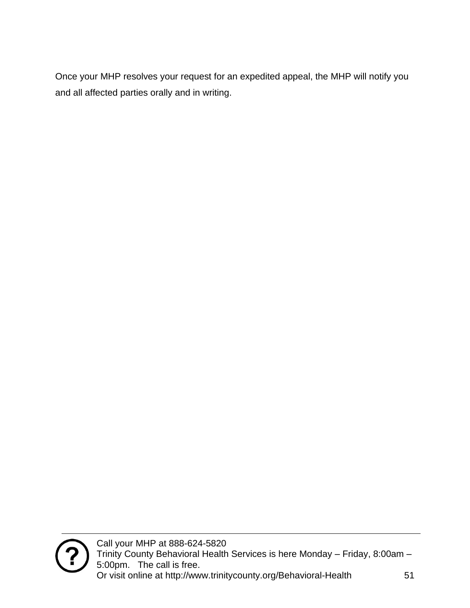Once your MHP resolves your request for an expedited appeal, the MHP will notify you and all affected parties orally and in writing.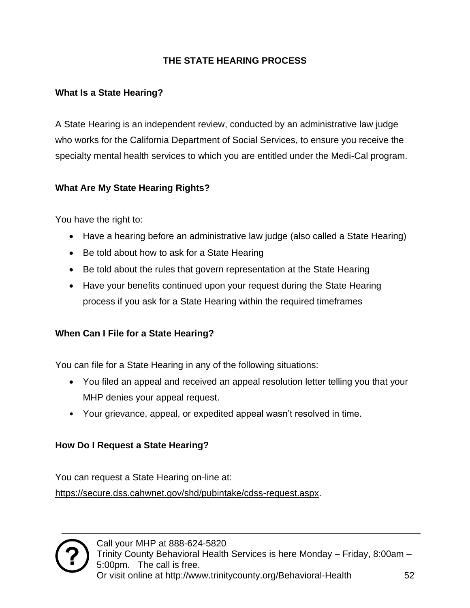#### **THE STATE HEARING PROCESS**

#### <span id="page-51-0"></span>**What Is a State Hearing?**

A State Hearing is an independent review, conducted by an administrative law judge who works for the California Department of Social Services, to ensure you receive the specialty mental health services to which you are entitled under the Medi-Cal program.

#### **What Are My State Hearing Rights?**

You have the right to:

- Have a hearing before an administrative law judge (also called a State Hearing)
- Be told about how to ask for a State Hearing
- Be told about the rules that govern representation at the State Hearing
- Have your benefits continued upon your request during the State Hearing process if you ask for a State Hearing within the required timeframes

#### **When Can I File for a State Hearing?**

You can file for a State Hearing in any of the following situations:

- You filed an appeal and received an appeal resolution letter telling you that your MHP denies your appeal request.
- Your grievance, appeal, or expedited appeal wasn't resolved in time.

#### **How Do I Request a State Hearing?**

You can request a State Hearing on-line at:

[https://secure.dss.cahwnet.gov/shd/pubintake/cdss-request.aspx.](https://secure.dss.cahwnet.gov/shd/pubintake/cdss-request.aspx)

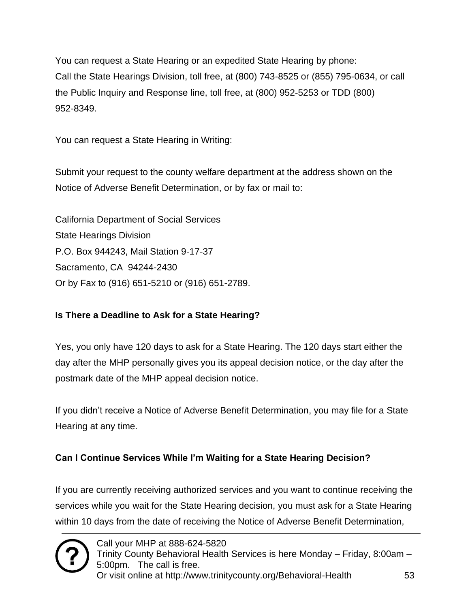You can request a State Hearing or an expedited State Hearing by phone: Call the State Hearings Division, toll free, at (800) 743-8525 or (855) 795-0634, or call the Public Inquiry and Response line, toll free, at (800) 952-5253 or TDD (800) 952-8349.

You can request a State Hearing in Writing:

Submit your request to the county welfare department at the address shown on the Notice of Adverse Benefit Determination, or by fax or mail to:

California Department of Social Services State Hearings Division P.O. Box 944243, Mail Station 9-17-37 Sacramento, CA 94244-2430 Or by Fax to (916) 651-5210 or (916) 651-2789.

#### **Is There a Deadline to Ask for a State Hearing?**

Yes, you only have 120 days to ask for a State Hearing. The 120 days start either the day after the MHP personally gives you its appeal decision notice, or the day after the postmark date of the MHP appeal decision notice.

If you didn't receive a Notice of Adverse Benefit Determination, you may file for a State Hearing at any time.

#### **Can I Continue Services While I'm Waiting for a State Hearing Decision?**

If you are currently receiving authorized services and you want to continue receiving the services while you wait for the State Hearing decision, you must ask for a State Hearing within 10 days from the date of receiving the Notice of Adverse Benefit Determination,

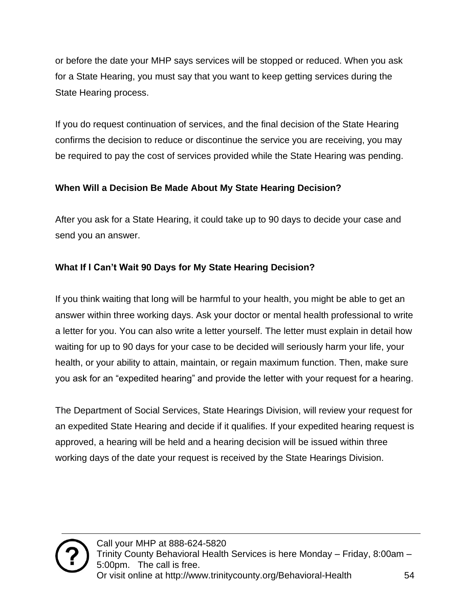or before the date your MHP says services will be stopped or reduced. When you ask for a State Hearing, you must say that you want to keep getting services during the State Hearing process.

If you do request continuation of services, and the final decision of the State Hearing confirms the decision to reduce or discontinue the service you are receiving, you may be required to pay the cost of services provided while the State Hearing was pending.

#### **When Will a Decision Be Made About My State Hearing Decision?**

After you ask for a State Hearing, it could take up to 90 days to decide your case and send you an answer.

#### **What If I Can't Wait 90 Days for My State Hearing Decision?**

If you think waiting that long will be harmful to your health, you might be able to get an answer within three working days. Ask your doctor or mental health professional to write a letter for you. You can also write a letter yourself. The letter must explain in detail how waiting for up to 90 days for your case to be decided will seriously harm your life, your health, or your ability to attain, maintain, or regain maximum function. Then, make sure you ask for an "expedited hearing" and provide the letter with your request for a hearing.

The Department of Social Services, State Hearings Division, will review your request for an expedited State Hearing and decide if it qualifies. If your expedited hearing request is approved, a hearing will be held and a hearing decision will be issued within three working days of the date your request is received by the State Hearings Division.

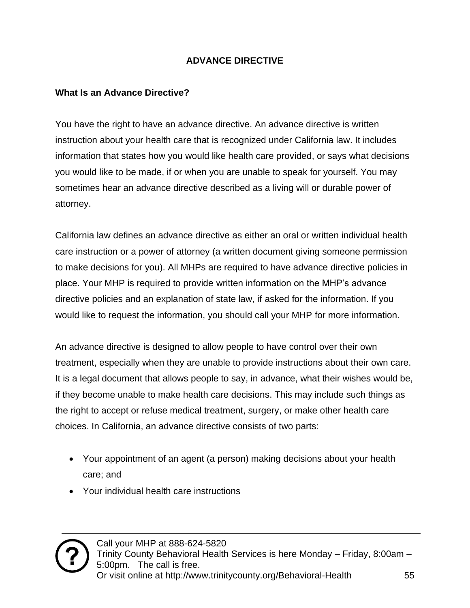#### **ADVANCE DIRECTIVE**

#### <span id="page-54-0"></span>**What Is an Advance Directive?**

You have the right to have an advance directive. An advance directive is written instruction about your health care that is recognized under California law. It includes information that states how you would like health care provided, or says what decisions you would like to be made, if or when you are unable to speak for yourself. You may sometimes hear an advance directive described as a living will or durable power of attorney.

California law defines an advance directive as either an oral or written individual health care instruction or a power of attorney (a written document giving someone permission to make decisions for you). All MHPs are required to have advance directive policies in place. Your MHP is required to provide written information on the MHP's advance directive policies and an explanation of state law, if asked for the information. If you would like to request the information, you should call your MHP for more information.

An advance directive is designed to allow people to have control over their own treatment, especially when they are unable to provide instructions about their own care. It is a legal document that allows people to say, in advance, what their wishes would be, if they become unable to make health care decisions. This may include such things as the right to accept or refuse medical treatment, surgery, or make other health care choices. In California, an advance directive consists of two parts:

- Your appointment of an agent (a person) making decisions about your health care; and
- Your individual health care instructions

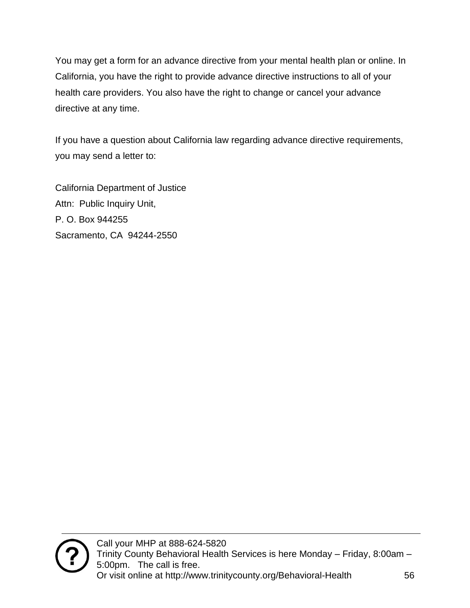You may get a form for an advance directive from your mental health plan or online. In California, you have the right to provide advance directive instructions to all of your health care providers. You also have the right to change or cancel your advance directive at any time.

If you have a question about California law regarding advance directive requirements, you may send a letter to:

California Department of Justice Attn: Public Inquiry Unit, P. O. Box 944255 Sacramento, CA 94244-2550

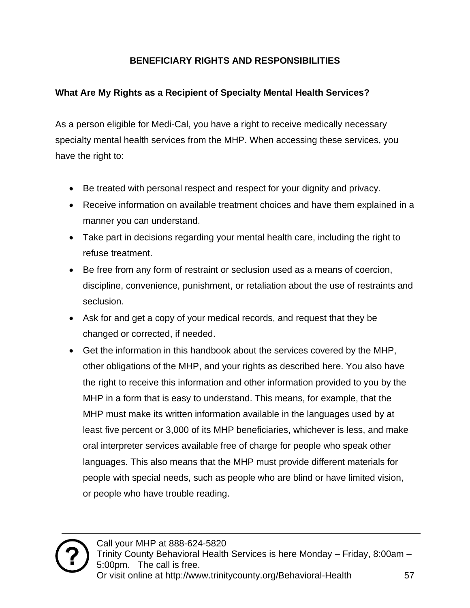#### **BENEFICIARY RIGHTS AND RESPONSIBILITIES**

#### <span id="page-56-0"></span>**What Are My Rights as a Recipient of Specialty Mental Health Services?**

As a person eligible for Medi-Cal, you have a right to receive medically necessary specialty mental health services from the MHP. When accessing these services, you have the right to:

- Be treated with personal respect and respect for your dignity and privacy.
- Receive information on available treatment choices and have them explained in a manner you can understand.
- Take part in decisions regarding your mental health care, including the right to refuse treatment.
- Be free from any form of restraint or seclusion used as a means of coercion, discipline, convenience, punishment, or retaliation about the use of restraints and seclusion.
- Ask for and get a copy of your medical records, and request that they be changed or corrected, if needed.
- Get the information in this handbook about the services covered by the MHP, other obligations of the MHP, and your rights as described here. You also have the right to receive this information and other information provided to you by the MHP in a form that is easy to understand. This means, for example, that the MHP must make its written information available in the languages used by at least five percent or 3,000 of its MHP beneficiaries, whichever is less, and make oral interpreter services available free of charge for people who speak other languages. This also means that the MHP must provide different materials for people with special needs, such as people who are blind or have limited vision, or people who have trouble reading.

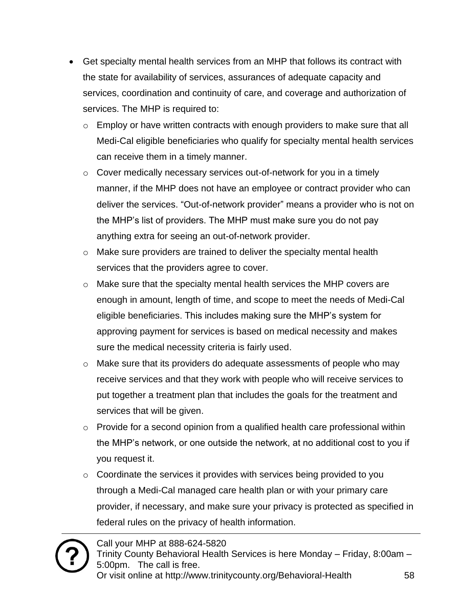- Get specialty mental health services from an MHP that follows its contract with the state for availability of services, assurances of adequate capacity and services, coordination and continuity of care, and coverage and authorization of services. The MHP is required to:
	- $\circ$  Employ or have written contracts with enough providers to make sure that all Medi-Cal eligible beneficiaries who qualify for specialty mental health services can receive them in a timely manner.
	- o Cover medically necessary services out-of-network for you in a timely manner, if the MHP does not have an employee or contract provider who can deliver the services. "Out-of-network provider" means a provider who is not on the MHP's list of providers. The MHP must make sure you do not pay anything extra for seeing an out-of-network provider.
	- o Make sure providers are trained to deliver the specialty mental health services that the providers agree to cover.
	- $\circ$  Make sure that the specialty mental health services the MHP covers are enough in amount, length of time, and scope to meet the needs of Medi-Cal eligible beneficiaries. This includes making sure the MHP's system for approving payment for services is based on medical necessity and makes sure the medical necessity criteria is fairly used.
	- o Make sure that its providers do adequate assessments of people who may receive services and that they work with people who will receive services to put together a treatment plan that includes the goals for the treatment and services that will be given.
	- $\circ$  Provide for a second opinion from a qualified health care professional within the MHP's network, or one outside the network, at no additional cost to you if you request it.
	- $\circ$  Coordinate the services it provides with services being provided to you through a Medi-Cal managed care health plan or with your primary care provider, if necessary, and make sure your privacy is protected as specified in federal rules on the privacy of health information.

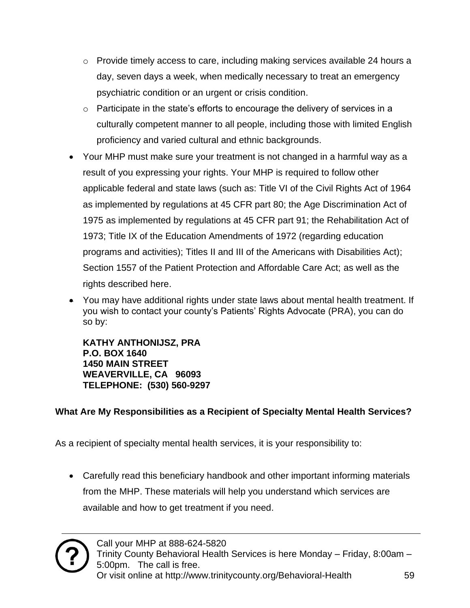- $\circ$  Provide timely access to care, including making services available 24 hours a day, seven days a week, when medically necessary to treat an emergency psychiatric condition or an urgent or crisis condition.
- o Participate in the state's efforts to encourage the delivery of services in a culturally competent manner to all people, including those with limited English proficiency and varied cultural and ethnic backgrounds.
- Your MHP must make sure your treatment is not changed in a harmful way as a result of you expressing your rights. Your MHP is required to follow other applicable federal and state laws (such as: Title VI of the Civil Rights Act of 1964 as implemented by regulations at 45 CFR part 80; the Age Discrimination Act of 1975 as implemented by regulations at 45 CFR part 91; the Rehabilitation Act of 1973; Title IX of the Education Amendments of 1972 (regarding education programs and activities); Titles II and III of the Americans with Disabilities Act); Section 1557 of the Patient Protection and Affordable Care Act; as well as the rights described here.
- You may have additional rights under state laws about mental health treatment. If you wish to contact your county's Patients' Rights Advocate (PRA), you can do so by:

**KATHY ANTHONIJSZ, PRA P.O. BOX 1640 1450 MAIN STREET WEAVERVILLE, CA 96093 TELEPHONE: (530) 560-9297**

#### **What Are My Responsibilities as a Recipient of Specialty Mental Health Services?**

As a recipient of specialty mental health services, it is your responsibility to:

• Carefully read this beneficiary handbook and other important informing materials from the MHP. These materials will help you understand which services are available and how to get treatment if you need.